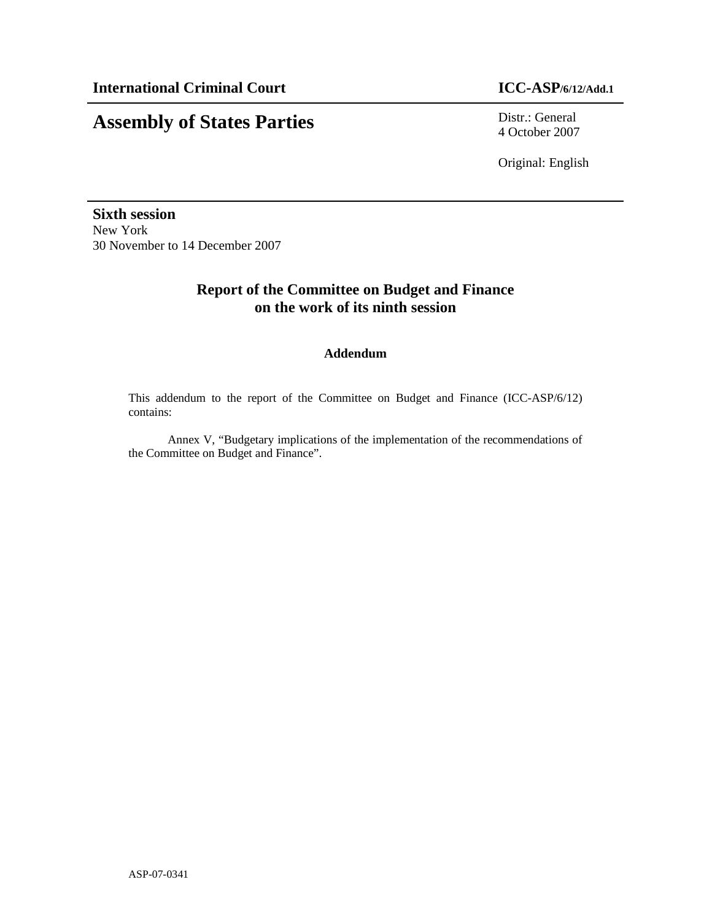## **Assembly of States Parties** Distr.: General

4 October 2007

Original: English

**Sixth session**  New York 30 November to 14 December 2007

## **Report of the Committee on Budget and Finance on the work of its ninth session**

### **Addendum**

This addendum to the report of the Committee on Budget and Finance (ICC-ASP/6/12) contains:

Annex V, "Budgetary implications of the implementation of the recommendations of the Committee on Budget and Finance".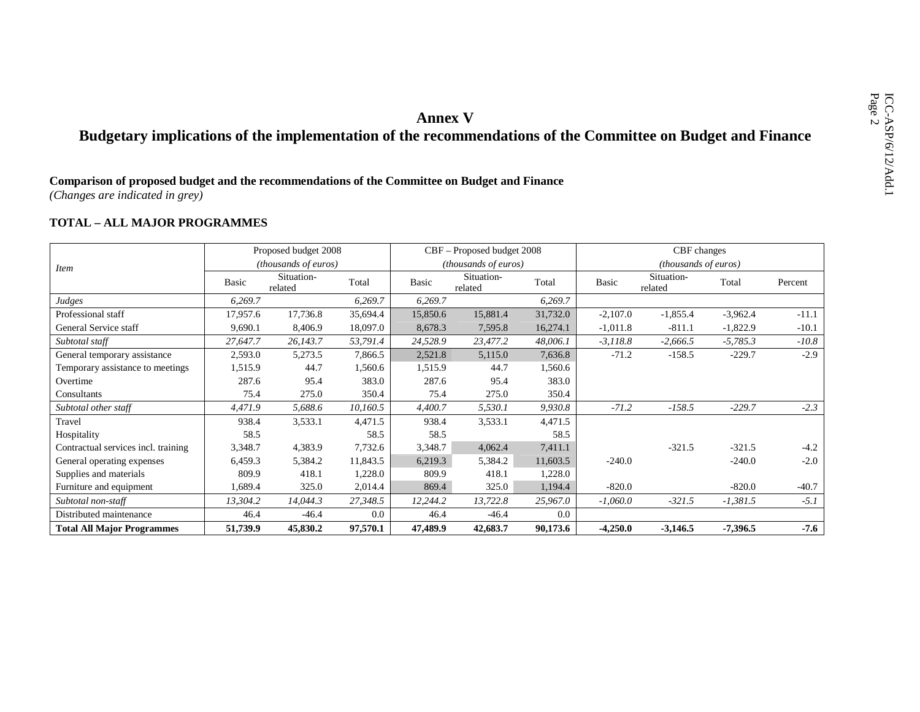# **Annex V**<br>**Annex V**<br>**Comparison of proposed budget and the recommendations of the commendations of the Committee on Budget and Finance<br>(***Changes are indicated in grey***)**

### **TOTAL – ALL MAJOR PROGRAMMES**

|                                     |          | Proposed budget 2008  |          |              | CBF – Proposed budget 2008 |          |            | CBF changes           |            |         |
|-------------------------------------|----------|-----------------------|----------|--------------|----------------------------|----------|------------|-----------------------|------------|---------|
| <i>Item</i>                         |          | (thousands of euros)  |          |              | (thousands of euros)       |          |            | (thousands of euros)  |            |         |
|                                     | Basic    | Situation-<br>related | Total    | <b>Basic</b> | Situation-<br>related      | Total    | Basic      | Situation-<br>related | Total      | Percent |
| Judges                              | 6,269.7  |                       | 6,269.7  | 6,269.7      |                            | 6,269.7  |            |                       |            |         |
| Professional staff                  | 17,957.6 | 17,736.8              | 35,694.4 | 15,850.6     | 15,881.4                   | 31,732.0 | $-2,107.0$ | $-1,855.4$            | $-3,962.4$ | $-11.1$ |
| General Service staff               | 9,690.1  | 8,406.9               | 18,097.0 | 8,678.3      | 7,595.8                    | 16,274.1 | $-1,011.8$ | $-811.1$              | $-1,822.9$ | $-10.1$ |
| Subtotal staff                      | 27,647.7 | 26,143.7              | 53,791.4 | 24,528.9     | 23,477.2                   | 48,006.1 | $-3,118.8$ | $-2,666.5$            | $-5,785.3$ | $-10.8$ |
| General temporary assistance        | 2,593.0  | 5,273.5               | 7,866.5  | 2,521.8      | 5,115.0                    | 7,636.8  | $-71.2$    | $-158.5$              | $-229.7$   | $-2.9$  |
| Temporary assistance to meetings    | 1,515.9  | 44.7                  | 1,560.6  | 1,515.9      | 44.7                       | 1,560.6  |            |                       |            |         |
| Overtime                            | 287.6    | 95.4                  | 383.0    | 287.6        | 95.4                       | 383.0    |            |                       |            |         |
| Consultants                         | 75.4     | 275.0                 | 350.4    | 75.4         | 275.0                      | 350.4    |            |                       |            |         |
| Subtotal other staff                | 4,471.9  | 5,688.6               | 10,160.5 | 4,400.7      | 5,530.1                    | 9,930.8  | $-71.2$    | $-158.5$              | $-229.7$   | $-2.3$  |
| Travel                              | 938.4    | 3,533.1               | 4,471.5  | 938.4        | 3,533.1                    | 4,471.5  |            |                       |            |         |
| Hospitality                         | 58.5     |                       | 58.5     | 58.5         |                            | 58.5     |            |                       |            |         |
| Contractual services incl. training | 3,348.7  | 4,383.9               | 7,732.6  | 3,348.7      | 4,062.4                    | 7,411.1  |            | $-321.5$              | $-321.5$   | $-4.2$  |
| General operating expenses          | 6,459.3  | 5,384.2               | 11,843.5 | 6,219.3      | 5,384.2                    | 11,603.5 | $-240.0$   |                       | $-240.0$   | $-2.0$  |
| Supplies and materials              | 809.9    | 418.1                 | 1,228.0  | 809.9        | 418.1                      | 1,228.0  |            |                       |            |         |
| Furniture and equipment             | 1,689.4  | 325.0                 | 2,014.4  | 869.4        | 325.0                      | 1,194.4  | $-820.0$   |                       | $-820.0$   | $-40.7$ |
| Subtotal non-staff                  | 13,304.2 | 14,044.3              | 27,348.5 | 12,244.2     | 13,722.8                   | 25,967.0 | $-1,060.0$ | $-321.5$              | $-1,381.5$ | $-5.1$  |
| Distributed maintenance             | 46.4     | $-46.4$               | 0.0      | 46.4         | $-46.4$                    | $0.0\,$  |            |                       |            |         |
| <b>Total All Major Programmes</b>   | 51,739.9 | 45,830.2              | 97,570.1 | 47,489.9     | 42,683.7                   | 90,173.6 | $-4,250.0$ | $-3,146.5$            | $-7,396.5$ | $-7.6$  |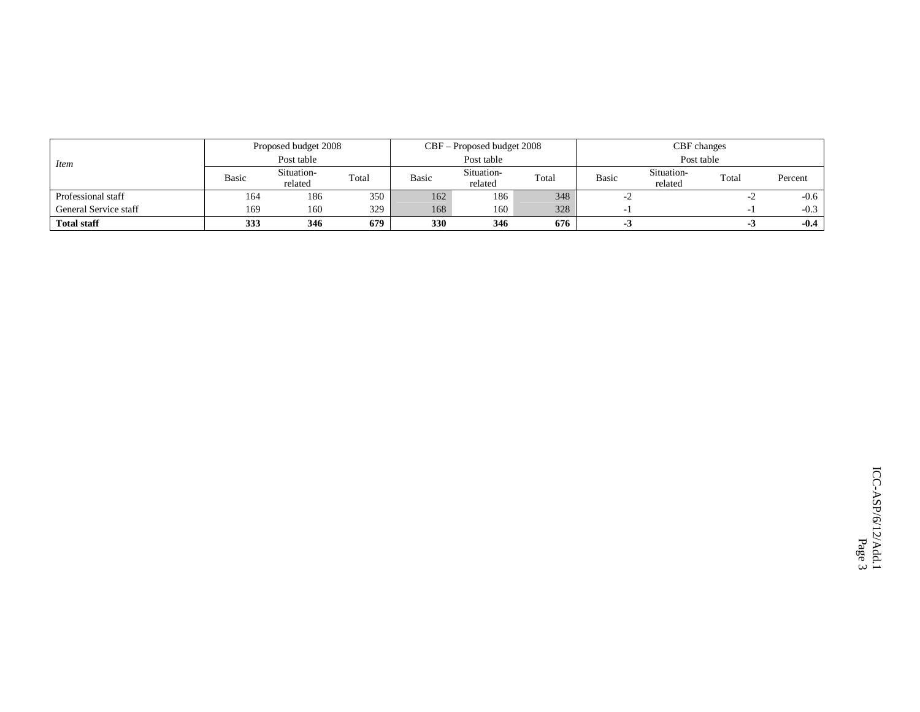|                       |              | Proposed budget 2008  |       |              | CBF – Proposed budget 2008 |       |              | CBF changes           |          |         |
|-----------------------|--------------|-----------------------|-------|--------------|----------------------------|-------|--------------|-----------------------|----------|---------|
| <i>Item</i>           |              | Post table            |       |              | Post table                 |       |              | Post table            |          |         |
|                       | <b>Basic</b> | Situation-<br>related | Total | <b>Basic</b> | Situation-<br>related      | Total | <b>Basic</b> | Situation-<br>related | Total    | Percent |
| Professional staff    | 164          | 186                   | 350   | 162          | 186                        | 348   |              |                       | -4       | $-0.6$  |
| General Service staff | 169          | 160                   | 329   | 168          | 160                        | 328   |              |                       | $\sim$ 1 | $-0.3$  |
| <b>Total staff</b>    | 333          | 346                   | 679   | 330          | 346                        | 676   | - 3          |                       | -3       | $-0.4$  |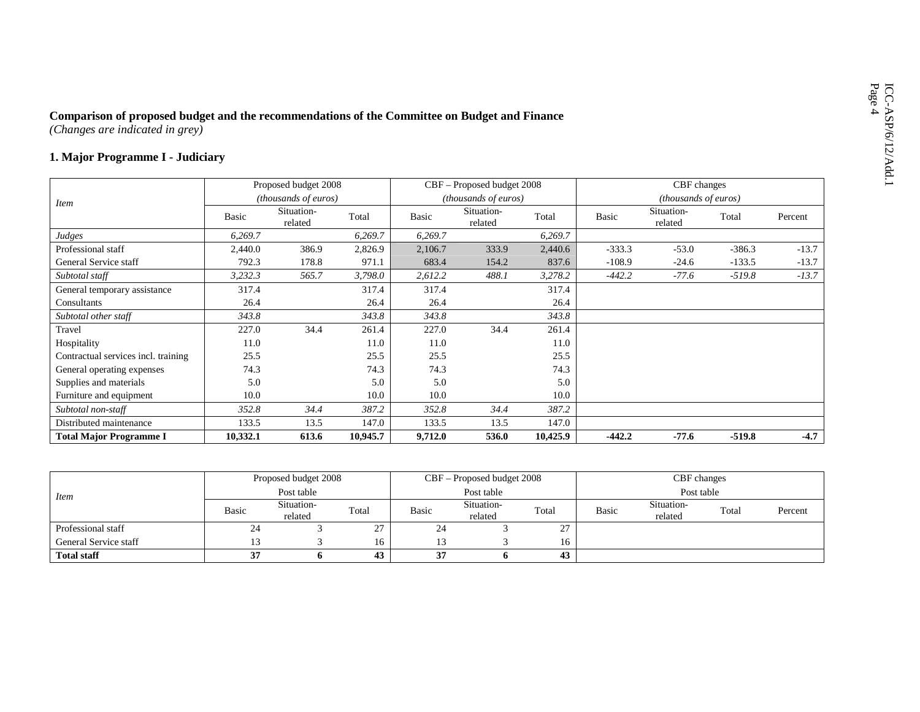# ICO-CAC-ASP (Changes are indicated in grey)<br> **1. Major Programme I** - Judiciary **1. Major Programme I** - Judiciary

|                                     |          | Proposed budget 2008  |          |         | CBF – Proposed budget 2008 |          |          | CBF changes           |          |         |
|-------------------------------------|----------|-----------------------|----------|---------|----------------------------|----------|----------|-----------------------|----------|---------|
| <i>Item</i>                         |          | (thousands of euros)  |          |         | (thousands of euros)       |          |          | (thousands of euros)  |          |         |
|                                     | Basic    | Situation-<br>related | Total    | Basic   | Situation-<br>related      | Total    | Basic    | Situation-<br>related | Total    | Percent |
| Judges                              | 6,269.7  |                       | 6,269.7  | 6,269.7 |                            | 6,269.7  |          |                       |          |         |
| Professional staff                  | 2,440.0  | 386.9                 | 2,826.9  | 2,106.7 | 333.9                      | 2,440.6  | $-333.3$ | $-53.0$               | $-386.3$ | $-13.7$ |
| General Service staff               | 792.3    | 178.8                 | 971.1    | 683.4   | 154.2                      | 837.6    | $-108.9$ | $-24.6$               | $-133.5$ | $-13.7$ |
| Subtotal staff                      | 3,232.3  | 565.7                 | 3,798.0  | 2,612.2 | 488.1                      | 3,278.2  | $-442.2$ | $-77.6$               | $-519.8$ | $-13.7$ |
| General temporary assistance        | 317.4    |                       | 317.4    | 317.4   |                            | 317.4    |          |                       |          |         |
| Consultants                         | 26.4     |                       | 26.4     | 26.4    |                            | 26.4     |          |                       |          |         |
| Subtotal other staff                | 343.8    |                       | 343.8    | 343.8   |                            | 343.8    |          |                       |          |         |
| Travel                              | 227.0    | 34.4                  | 261.4    | 227.0   | 34.4                       | 261.4    |          |                       |          |         |
| Hospitality                         | 11.0     |                       | 11.0     | 11.0    |                            | 11.0     |          |                       |          |         |
| Contractual services incl. training | 25.5     |                       | 25.5     | 25.5    |                            | 25.5     |          |                       |          |         |
| General operating expenses          | 74.3     |                       | 74.3     | 74.3    |                            | 74.3     |          |                       |          |         |
| Supplies and materials              | 5.0      |                       | 5.0      | 5.0     |                            | 5.0      |          |                       |          |         |
| Furniture and equipment             | 10.0     |                       | 10.0     | 10.0    |                            | 10.0     |          |                       |          |         |
| Subtotal non-staff                  | 352.8    | 34.4                  | 387.2    | 352.8   | 34.4                       | 387.2    |          |                       |          |         |
| Distributed maintenance             | 133.5    | 13.5                  | 147.0    | 133.5   | 13.5                       | 147.0    |          |                       |          |         |
| <b>Total Major Programme I</b>      | 10,332.1 | 613.6                 | 10,945.7 | 9,712.0 | 536.0                      | 10,425.9 | $-442.2$ | $-77.6$               | $-519.8$ | $-4.7$  |

|                       |       | Proposed budget 2008  |                |          | $CBF -$ Proposed budget 2008 |               |       | CBF changes           |       |         |
|-----------------------|-------|-----------------------|----------------|----------|------------------------------|---------------|-------|-----------------------|-------|---------|
| <i>Item</i>           |       | Post table            |                |          | Post table                   |               |       | Post table            |       |         |
|                       | Basic | Situation-<br>related | Total          | Basic    | Situation-<br>related        | Total         | Basic | Situation-<br>related | Total | Percent |
| Professional staff    | 24    |                       | 27<br>$\sim$ 1 | 24       |                              | $\sim$<br>، ک |       |                       |       |         |
| General Service staff |       |                       | 16             |          |                              | 16            |       |                       |       |         |
| <b>Total staff</b>    | 27    |                       | 43             | 37<br>J. |                              | 43            |       |                       |       |         |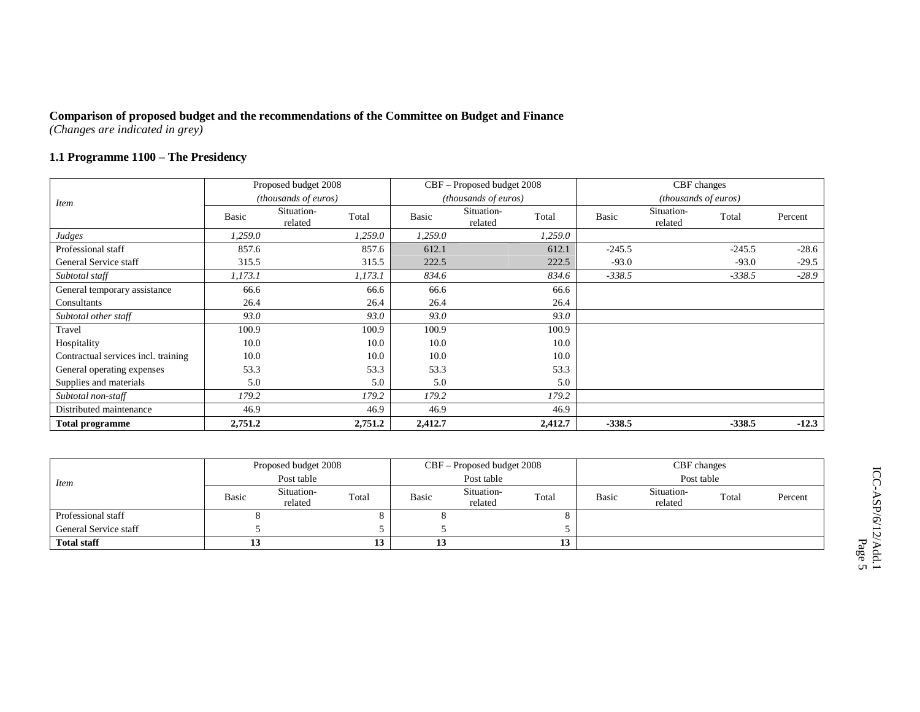### **1.1 Programme 1100 – The Presidency**

|                                     |         | Proposed budget 2008        |         |              | CBF – Proposed budget 2008    |         |          | CBF changes           |          |         |
|-------------------------------------|---------|-----------------------------|---------|--------------|-------------------------------|---------|----------|-----------------------|----------|---------|
| <i>Item</i>                         |         | <i>(thousands of euros)</i> |         |              | ( <i>thousands of euros</i> ) |         |          | (thousands of euros)  |          |         |
|                                     | Basic   | Situation-<br>related       | Total   | <b>Basic</b> | Situation-<br>related         | Total   | Basic    | Situation-<br>related | Total    | Percent |
| Judges                              | 1,259.0 |                             | 1,259.0 | 1,259.0      |                               | 1,259.0 |          |                       |          |         |
| Professional staff                  | 857.6   |                             | 857.6   | 612.1        |                               | 612.1   | $-245.5$ |                       | $-245.5$ | $-28.6$ |
| General Service staff               | 315.5   |                             | 315.5   | 222.5        |                               | 222.5   | $-93.0$  |                       | $-93.0$  | $-29.5$ |
| Subtotal staff                      | 1,173.1 |                             | 1,173.1 | 834.6        |                               | 834.6   | $-338.5$ |                       | $-338.5$ | $-28.9$ |
| General temporary assistance        | 66.6    |                             | 66.6    | 66.6         |                               | 66.6    |          |                       |          |         |
| Consultants                         | 26.4    |                             | 26.4    | 26.4         |                               | 26.4    |          |                       |          |         |
| Subtotal other staff                | 93.0    |                             | 93.0    | 93.0         |                               | 93.0    |          |                       |          |         |
| Travel                              | 100.9   |                             | 100.9   | 100.9        |                               | 100.9   |          |                       |          |         |
| Hospitality                         | 10.0    |                             | 10.0    | 10.0         |                               | 10.0    |          |                       |          |         |
| Contractual services incl. training | 10.0    |                             | 10.0    | 10.0         |                               | 10.0    |          |                       |          |         |
| General operating expenses          | 53.3    |                             | 53.3    | 53.3         |                               | 53.3    |          |                       |          |         |
| Supplies and materials              | 5.0     |                             | 5.0     | 5.0          |                               | 5.0     |          |                       |          |         |
| Subtotal non-staff                  | 179.2   |                             | 179.2   | 179.2        |                               | 179.2   |          |                       |          |         |
| Distributed maintenance             | 46.9    |                             | 46.9    | 46.9         |                               | 46.9    |          |                       |          |         |
| <b>Total programme</b>              | 2,751.2 |                             | 2,751.2 | 2,412.7      |                               | 2,412.7 | $-338.5$ |                       | $-338.5$ | $-12.3$ |

|                       |       | Proposed budget 2008  |       |       | CBF – Proposed budget 2008 |       |       | CBF changes           |       |         |
|-----------------------|-------|-----------------------|-------|-------|----------------------------|-------|-------|-----------------------|-------|---------|
| Item                  |       | Post table            |       |       | Post table                 |       |       | Post table            |       |         |
|                       | Basic | Situation-<br>related | Total | Basic | Situation-<br>related      | Total | Basic | Situation-<br>related | Total | Percent |
| Professional staff    |       |                       |       |       |                            |       |       |                       |       |         |
| General Service staff |       |                       |       |       |                            |       |       |                       |       |         |
| <b>Total staff</b>    | IJ    |                       | 13    | ⊥ၪ    |                            | 13    |       |                       |       |         |

ICC-ASP/6/12/Add.1 ICC-ASP/6/12/Add.1<br>Page 5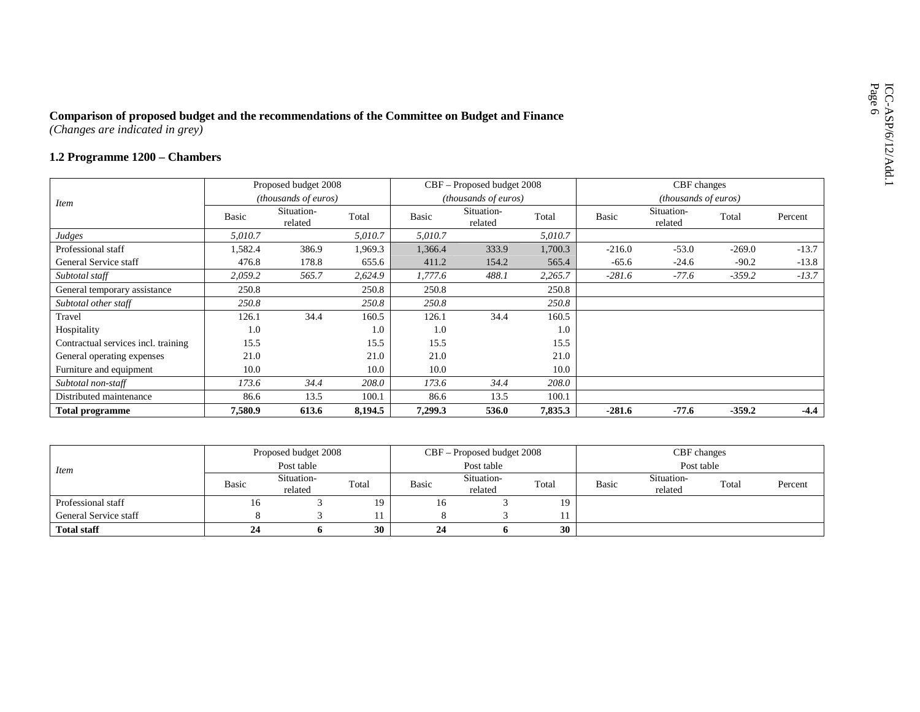# ICO-Changes are indicated in grey)<br> **1.2 Programme 1200** – Chambers **Proposed budget and Finance <b>1200** – Chambers **Proposed budget 200** – Chambers **Proposed budget 200**

|                                     |         | Proposed budget 2008  |         |              | CBF – Proposed budget 2008 |         |          | CBF changes           |          |         |
|-------------------------------------|---------|-----------------------|---------|--------------|----------------------------|---------|----------|-----------------------|----------|---------|
| <i>Item</i>                         |         | (thousands of euros)  |         |              | (thousands of euros)       |         |          | (thousands of euros)  |          |         |
|                                     | Basic   | Situation-<br>related | Total   | <b>Basic</b> | Situation-<br>related      | Total   | Basic    | Situation-<br>related | Total    | Percent |
| Judges                              | 5,010.7 |                       | 5,010.7 | 5,010.7      |                            | 5,010.7 |          |                       |          |         |
| Professional staff                  | 1,582.4 | 386.9                 | 1,969.3 | 1,366.4      | 333.9                      | 1,700.3 | $-216.0$ | $-53.0$               | $-269.0$ | $-13.7$ |
| General Service staff               | 476.8   | 178.8                 | 655.6   | 411.2        | 154.2                      | 565.4   | $-65.6$  | $-24.6$               | $-90.2$  | $-13.8$ |
| Subtotal staff                      | 2,059.2 | 565.7                 | 2,624.9 | 1,777.6      | 488.1                      | 2,265.7 | $-281.6$ | $-77.6$               | $-359.2$ | $-13.7$ |
| General temporary assistance        | 250.8   |                       | 250.8   | 250.8        |                            | 250.8   |          |                       |          |         |
| Subtotal other staff                | 250.8   |                       | 250.8   | 250.8        |                            | 250.8   |          |                       |          |         |
| Travel                              | 126.1   | 34.4                  | 160.5   | 126.1        | 34.4                       | 160.5   |          |                       |          |         |
| Hospitality                         | 1.0     |                       | 1.0     | 1.0          |                            | 1.0     |          |                       |          |         |
| Contractual services incl. training | 15.5    |                       | 15.5    | 15.5         |                            | 15.5    |          |                       |          |         |
| General operating expenses          | 21.0    |                       | 21.0    | 21.0         |                            | 21.0    |          |                       |          |         |
| Furniture and equipment             | 10.0    |                       | 10.0    | 10.0         |                            | 10.0    |          |                       |          |         |
| Subtotal non-staff                  | 173.6   | 34.4                  | 208.0   | 173.6        | 34.4                       | 208.0   |          |                       |          |         |
| Distributed maintenance             | 86.6    | 13.5                  | 100.1   | 86.6         | 13.5                       | 100.1   |          |                       |          |         |
| <b>Total programme</b>              | 7,580.9 | 613.6                 | 8,194.5 | 7,299.3      | 536.0                      | 7,835.3 | $-281.6$ | $-77.6$               | $-359.2$ | $-4.4$  |

|                       |              | Proposed budget 2008  |       |       | $CBF -$ Proposed budget 2008 |       |       | CBF changes           |       |         |
|-----------------------|--------------|-----------------------|-------|-------|------------------------------|-------|-------|-----------------------|-------|---------|
| <i>Item</i>           |              | Post table            |       |       | Post table                   |       |       | Post table            |       |         |
|                       | <b>Basic</b> | Situation-<br>related | Total | Basic | Situation-<br>related        | Total | Basic | Situation-<br>related | Total | Percent |
| Professional staff    | 16           |                       | 19.   | 16    |                              | 19    |       |                       |       |         |
| General Service staff |              |                       |       |       |                              |       |       |                       |       |         |
| <b>Total staff</b>    | 24           |                       | 30    | 24    |                              | 30    |       |                       |       |         |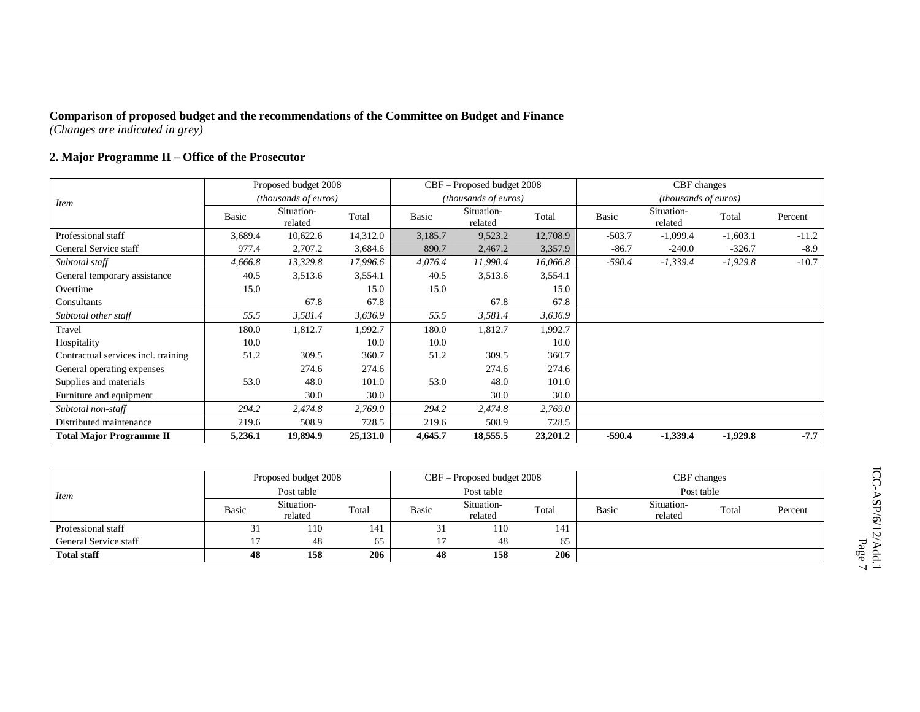### **2. Major Programme II – Office of the Prosecutor**

|                                     |              | Proposed budget 2008        |          |         | CBF – Proposed budget 2008  |          |              | CBF changes                   |            |         |
|-------------------------------------|--------------|-----------------------------|----------|---------|-----------------------------|----------|--------------|-------------------------------|------------|---------|
| Item                                |              | <i>(thousands of euros)</i> |          |         | <i>(thousands of euros)</i> |          |              | ( <i>thousands of euros</i> ) |            |         |
|                                     | <b>Basic</b> | Situation-<br>related       | Total    | Basic   | Situation-<br>related       | Total    | <b>Basic</b> | Situation-<br>related         | Total      | Percent |
| Professional staff                  | 3,689.4      | 10,622.6                    | 14,312.0 | 3,185.7 | 9,523.2                     | 12,708.9 | $-503.7$     | $-1,099.4$                    | $-1,603.1$ | $-11.2$ |
| General Service staff               | 977.4        | 2,707.2                     | 3,684.6  | 890.7   | 2,467.2                     | 3,357.9  | $-86.7$      | $-240.0$                      | $-326.7$   | $-8.9$  |
| Subtotal staff                      | 4,666.8      | 13,329.8                    | 17,996.6 | 4,076.4 | 11,990.4                    | 16,066.8 | $-590.4$     | $-1,339.4$                    | $-1,929.8$ | $-10.7$ |
| General temporary assistance        | 40.5         | 3,513.6                     | 3,554.1  | 40.5    | 3,513.6                     | 3,554.1  |              |                               |            |         |
| Overtime                            | 15.0         |                             | 15.0     | 15.0    |                             | 15.0     |              |                               |            |         |
| Consultants                         |              | 67.8                        | 67.8     |         | 67.8                        | 67.8     |              |                               |            |         |
| Subtotal other staff                | 55.5         | 3,581.4                     | 3,636.9  | 55.5    | 3,581.4                     | 3,636.9  |              |                               |            |         |
| Travel                              | 180.0        | 1,812.7                     | 1,992.7  | 180.0   | 1,812.7                     | 1,992.7  |              |                               |            |         |
| Hospitality                         | 10.0         |                             | 10.0     | 10.0    |                             | 10.0     |              |                               |            |         |
| Contractual services incl. training | 51.2         | 309.5                       | 360.7    | 51.2    | 309.5                       | 360.7    |              |                               |            |         |
| General operating expenses          |              | 274.6                       | 274.6    |         | 274.6                       | 274.6    |              |                               |            |         |
| Supplies and materials              | 53.0         | 48.0                        | 101.0    | 53.0    | 48.0                        | 101.0    |              |                               |            |         |
| Furniture and equipment             |              | 30.0                        | 30.0     |         | 30.0                        | 30.0     |              |                               |            |         |
| Subtotal non-staff                  | 294.2        | 2,474.8                     | 2,769.0  | 294.2   | 2,474.8                     | 2,769.0  |              |                               |            |         |
| Distributed maintenance             | 219.6        | 508.9                       | 728.5    | 219.6   | 508.9                       | 728.5    |              |                               |            |         |
| <b>Total Major Programme II</b>     | 5,236.1      | 19,894.9                    | 25,131.0 | 4,645.7 | 18,555.5                    | 23,201.2 | $-590.4$     | $-1,339.4$                    | $-1,929.8$ | $-7.7$  |

|                       |            | Proposed budget 2008  |       |       | CBF – Proposed budget 2008 |       |       | CBF changes           |       |         |
|-----------------------|------------|-----------------------|-------|-------|----------------------------|-------|-------|-----------------------|-------|---------|
| Item                  | Post table |                       |       |       | Post table                 |       |       | Post table            |       |         |
|                       | Basic      | Situation-<br>related | Total | Basic | Situation-<br>related      | Total | Basic | Situation-<br>related | Total | Percent |
| Professional staff    | 31         | 110                   | 141   | 51    | 110                        | 141   |       |                       |       |         |
| General Service staff |            | 48                    | 65    |       | 48                         | 65    |       |                       |       |         |
| <b>Total staff</b>    | 48         | 158                   | 206   | 48    | 158                        | 206   |       |                       |       |         |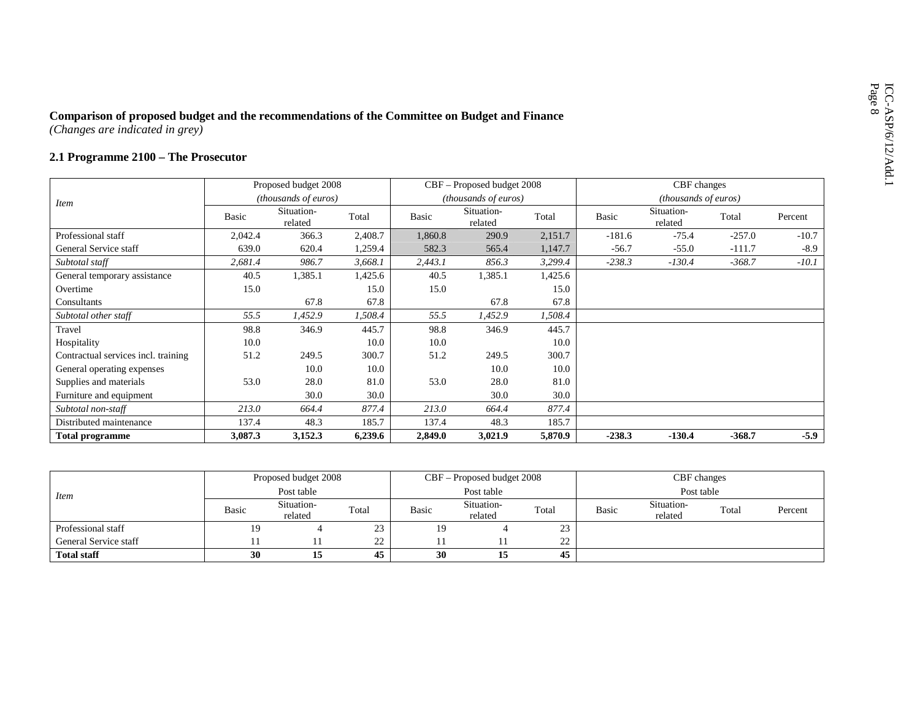# ICO-Changes are indicated in grey)<br> **2.1 Programme 2100 – The Prosecutor** *Prosecutor*

|                                     |         | Proposed budget 2008  |         |         | CBF – Proposed budget 2008  |         |          | CBF changes           |          |         |
|-------------------------------------|---------|-----------------------|---------|---------|-----------------------------|---------|----------|-----------------------|----------|---------|
| <i>Item</i>                         |         | (thousands of euros)  |         |         | <i>(thousands of euros)</i> |         |          | (thousands of euros)  |          |         |
|                                     | Basic   | Situation-<br>related | Total   | Basic   | Situation-<br>related       | Total   | Basic    | Situation-<br>related | Total    | Percent |
| Professional staff                  | 2,042.4 | 366.3                 | 2,408.7 | 1,860.8 | 290.9                       | 2,151.7 | $-181.6$ | $-75.4$               | $-257.0$ | $-10.7$ |
| General Service staff               | 639.0   | 620.4                 | 1,259.4 | 582.3   | 565.4                       | 1,147.7 | $-56.7$  | $-55.0$               | $-111.7$ | $-8.9$  |
| Subtotal staff                      | 2,681.4 | 986.7                 | 3,668.1 | 2,443.1 | 856.3                       | 3,299.4 | $-238.3$ | $-130.4$              | $-368.7$ | $-10.1$ |
| General temporary assistance        | 40.5    | 1,385.1               | 1,425.6 | 40.5    | 1,385.1                     | 1,425.6 |          |                       |          |         |
| Overtime                            | 15.0    |                       | 15.0    | 15.0    |                             | 15.0    |          |                       |          |         |
| Consultants                         |         | 67.8                  | 67.8    |         | 67.8                        | 67.8    |          |                       |          |         |
| Subtotal other staff                | 55.5    | 1,452.9               | 1,508.4 | 55.5    | 1,452.9                     | 1,508.4 |          |                       |          |         |
| Travel                              | 98.8    | 346.9                 | 445.7   | 98.8    | 346.9                       | 445.7   |          |                       |          |         |
| Hospitality                         | 10.0    |                       | 10.0    | 10.0    |                             | 10.0    |          |                       |          |         |
| Contractual services incl. training | 51.2    | 249.5                 | 300.7   | 51.2    | 249.5                       | 300.7   |          |                       |          |         |
| General operating expenses          |         | 10.0                  | 10.0    |         | 10.0                        | 10.0    |          |                       |          |         |
| Supplies and materials              | 53.0    | 28.0                  | 81.0    | 53.0    | 28.0                        | 81.0    |          |                       |          |         |
| Furniture and equipment             |         | 30.0                  | 30.0    |         | 30.0                        | 30.0    |          |                       |          |         |
| Subtotal non-staff                  | 213.0   | 664.4                 | 877.4   | 213.0   | 664.4                       | 877.4   |          |                       |          |         |
| Distributed maintenance             | 137.4   | 48.3                  | 185.7   | 137.4   | 48.3                        | 185.7   |          |                       |          |         |
| <b>Total programme</b>              | 3,087.3 | 3,152.3               | 6,239.6 | 2,849.0 | 3,021.9                     | 5,870.9 | $-238.3$ | $-130.4$              | $-368.7$ | $-5.9$  |

|                       |              | Proposed budget 2008  |       |              | $CBF -$ Proposed budget 2008 |               |              | CBF changes           |       |         |
|-----------------------|--------------|-----------------------|-------|--------------|------------------------------|---------------|--------------|-----------------------|-------|---------|
| <i>Item</i>           |              | Post table            |       |              | Post table                   |               |              | Post table            |       |         |
|                       | <b>Basic</b> | Situation-<br>related | Total | <b>Basic</b> | Situation-<br>related        | Total         | <b>Basic</b> | Situation-<br>related | Total | Percent |
| Professional staff    | 19           |                       | 23    | 19           |                              | $\sim$<br>ر ے |              |                       |       |         |
| General Service staff |              |                       | 22    |              |                              | ົາາ<br>∠∠     |              |                       |       |         |
| <b>Total staff</b>    | 30           | 15                    | 45    | 30           | 15                           | 45            |              |                       |       |         |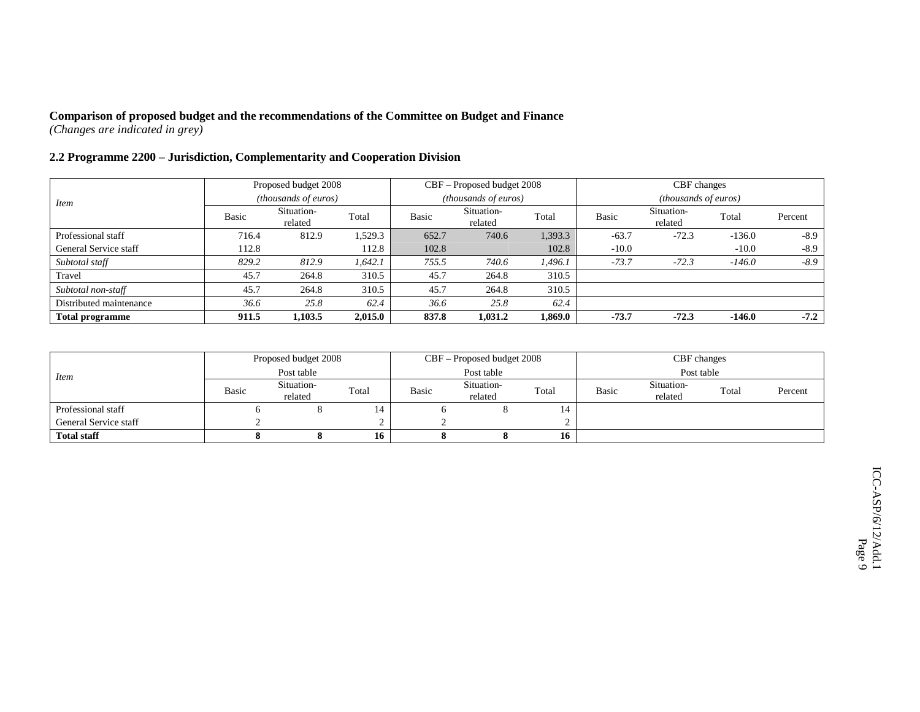### **2.2 Programme 2200 – Jurisdiction, Complementarity and Cooperation Division**

|                         |       | Proposed budget 2008        |         |       | CBF – Proposed budget 2008 |         |         | CBF changes                 |          |         |
|-------------------------|-------|-----------------------------|---------|-------|----------------------------|---------|---------|-----------------------------|----------|---------|
| <i>Item</i>             |       | <i>(thousands of euros)</i> |         |       | (thousands of euros)       |         |         | <i>(thousands of euros)</i> |          |         |
|                         | Basic | Situation-<br>related       | Total   | Basic | Situation-<br>related      | Total   | Basic   | Situation-<br>related       | Total    | Percent |
| Professional staff      | 716.4 | 812.9                       | 1,529.3 | 652.7 | 740.6                      | 1,393.3 | $-63.7$ | $-72.3$                     | $-136.0$ | $-8.9$  |
| General Service staff   | 112.8 |                             | 112.8   | 102.8 |                            | 102.8   | $-10.0$ |                             | $-10.0$  | $-8.9$  |
| Subtotal staff          | 829.2 | 812.9                       | 1,642.1 | 755.5 | 740.6                      | 1.496.1 | $-73.7$ | $-72.3$                     | $-146.0$ | $-8.9$  |
| Travel                  | 45.7  | 264.8                       | 310.5   | 45.7  | 264.8                      | 310.5   |         |                             |          |         |
| Subtotal non-staff      | 45.7  | 264.8                       | 310.5   | 45.7  | 264.8                      | 310.5   |         |                             |          |         |
| Distributed maintenance | 36.6  | 25.8                        | 62.4    | 36.6  | 25.8                       | 62.4    |         |                             |          |         |
| <b>Total programme</b>  | 911.5 | 1.103.5                     | 2,015.0 | 837.8 | 1.031.2                    | 1.869.0 | $-73.7$ | $-72.3$                     | $-146.0$ | $-7.2$  |

|                       |       | Proposed budget 2008  |       |              | CBF – Proposed budget 2008 |       |       | CBF changes           |       |         |
|-----------------------|-------|-----------------------|-------|--------------|----------------------------|-------|-------|-----------------------|-------|---------|
| <i>Item</i>           |       | Post table            |       |              | Post table                 |       |       | Post table            |       |         |
|                       | Basic | Situation-<br>related | Total | <b>Basic</b> | Situation-<br>related      | Total | Basic | Situation-<br>related | Total | Percent |
| Professional staff    |       |                       | 14    |              |                            | 14    |       |                       |       |         |
| General Service staff |       |                       |       |              |                            |       |       |                       |       |         |
| <b>Total staff</b>    |       |                       | 16    |              |                            | 16    |       |                       |       |         |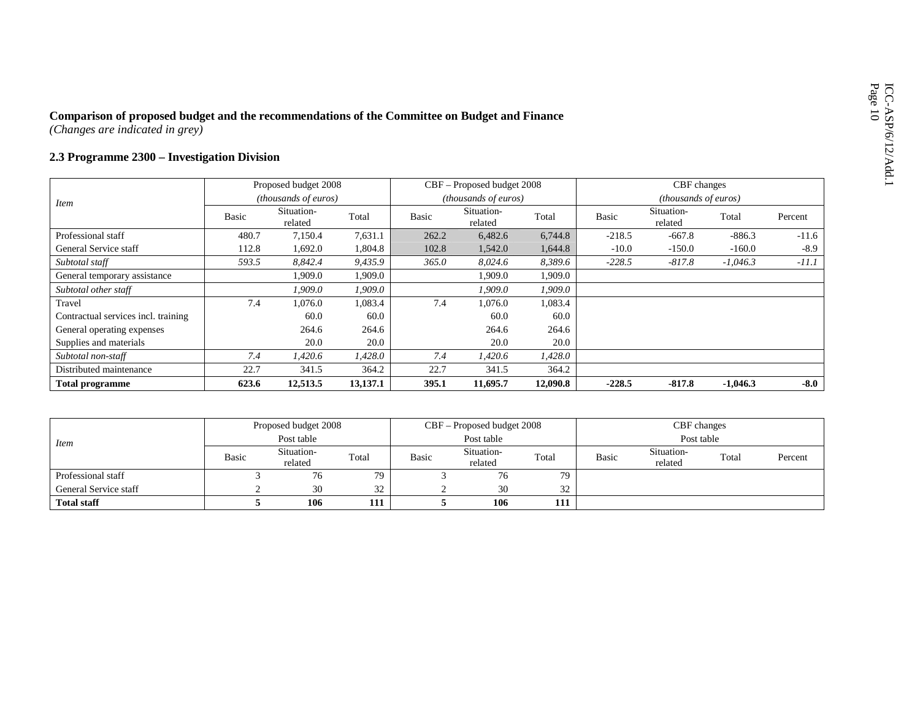# Comparison of proposed budget and the recommendations of the Committee on Budget and Finance<br>
(Changes are indicated in grey)<br>
2.3 Programme 2300 – Investigation Division

|                                     |       | Proposed budget 2008        |          |       | CBF – Proposed budget 2008  |          |          | CBF changes                 |            |         |
|-------------------------------------|-------|-----------------------------|----------|-------|-----------------------------|----------|----------|-----------------------------|------------|---------|
| <i>Item</i>                         |       | <i>(thousands of euros)</i> |          |       | <i>(thousands of euros)</i> |          |          | <i>(thousands of euros)</i> |            |         |
|                                     | Basic | Situation-<br>related       | Total    | Basic | Situation-<br>related       | Total    | Basic    | Situation-<br>related       | Total      | Percent |
| Professional staff                  | 480.7 | 7,150.4                     | 7,631.1  | 262.2 | 6,482.6                     | 6,744.8  | $-218.5$ | $-667.8$                    | $-886.3$   | $-11.6$ |
| General Service staff               | 112.8 | 1,692.0                     | 1,804.8  | 102.8 | 1,542.0                     | 1,644.8  | $-10.0$  | $-150.0$                    | $-160.0$   | $-8.9$  |
| Subtotal staff                      | 593.5 | 8,842.4                     | 9,435.9  | 365.0 | 8,024.6                     | 8,389.6  | $-228.5$ | $-817.8$                    | $-1,046.3$ | $-11.1$ |
| General temporary assistance        |       | 1,909.0                     | 1,909.0  |       | 1,909.0                     | 1,909.0  |          |                             |            |         |
| Subtotal other staff                |       | 1,909.0                     | 1,909.0  |       | 1,909.0                     | 1,909.0  |          |                             |            |         |
| Travel                              | 7.4   | 1,076.0                     | 1,083.4  | 7.4   | 1.076.0                     | 1,083.4  |          |                             |            |         |
| Contractual services incl. training |       | 60.0                        | 60.0     |       | 60.0                        | 60.0     |          |                             |            |         |
| General operating expenses          |       | 264.6                       | 264.6    |       | 264.6                       | 264.6    |          |                             |            |         |
| Supplies and materials              |       | 20.0                        | 20.0     |       | 20.0                        | 20.0     |          |                             |            |         |
| Subtotal non-staff                  | 7.4   | 1,420.6                     | 1,428.0  | 7.4   | 1,420.6                     | 1,428.0  |          |                             |            |         |
| Distributed maintenance             | 22.7  | 341.5                       | 364.2    | 22.7  | 341.5                       | 364.2    |          |                             |            |         |
| <b>Total programme</b>              | 623.6 | 12,513.5                    | 13,137.1 | 395.1 | 11,695.7                    | 12,090.8 | $-228.5$ | $-817.8$                    | $-1.046.3$ | $-8.0$  |

|                       |       | Proposed budget 2008  |       |       | $CBF -$ Proposed budget 2008 |       | CBF changes  |                       |       |         |
|-----------------------|-------|-----------------------|-------|-------|------------------------------|-------|--------------|-----------------------|-------|---------|
| <i>Item</i>           |       | Post table            |       |       | Post table                   |       |              | Post table            |       |         |
|                       | Basic | Situation-<br>related | Total | Basic | Situation-<br>related        | Total | <b>Basic</b> | Situation-<br>related | Total | Percent |
| Professional staff    |       | 76                    | 79    |       | 76                           | 79    |              |                       |       |         |
| General Service staff |       | 30                    | 32    |       | 30                           | 32    |              |                       |       |         |
| <b>Total staff</b>    |       | 106                   | 111   |       | 106                          | 111   |              |                       |       |         |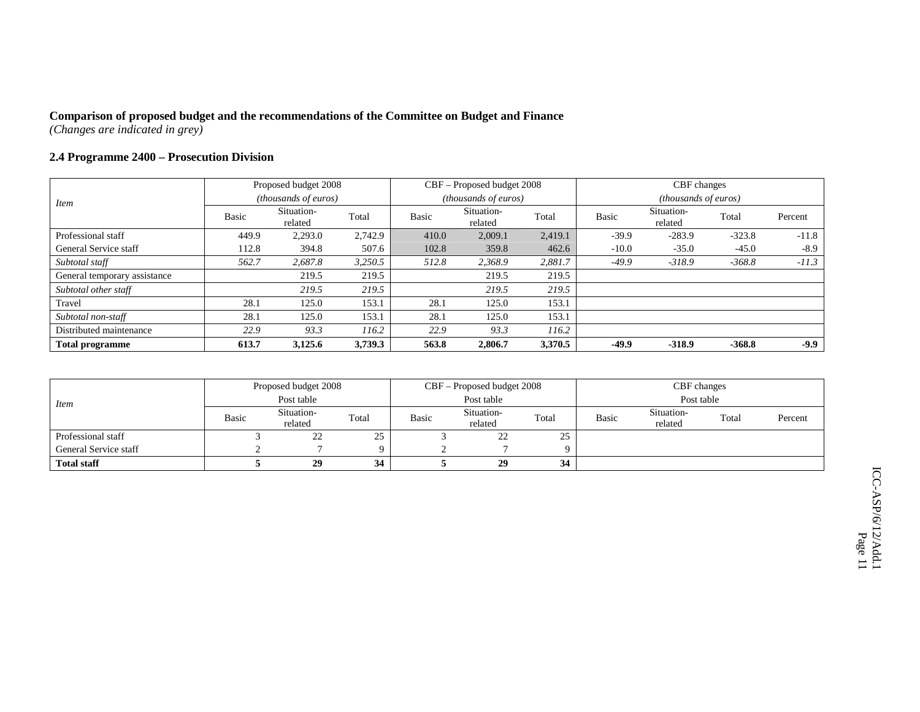### **2.4 Programme 2400 – Prosecution Division**

|                              |       | Proposed budget 2008        |         |       | CBF – Proposed budget 2008 |         |              | CBF changes                 |          |         |
|------------------------------|-------|-----------------------------|---------|-------|----------------------------|---------|--------------|-----------------------------|----------|---------|
| Item                         |       | <i>(thousands of euros)</i> |         |       | (thousands of euros)       |         |              | <i>(thousands of euros)</i> |          |         |
|                              | Basic | Situation-<br>related       | Total   | Basic | Situation-<br>related      | Total   | <b>Basic</b> | Situation-<br>related       | Total    | Percent |
| Professional staff           | 449.9 | 2,293.0                     | 2,742.9 | 410.0 | 2,009.1                    | 2,419.1 | $-39.9$      | $-283.9$                    | $-323.8$ | $-11.8$ |
| General Service staff        | 112.8 | 394.8                       | 507.6   | 102.8 | 359.8                      | 462.6   | $-10.0$      | $-35.0$                     | $-45.0$  | $-8.9$  |
| Subtotal staff               | 562.7 | 2,687.8                     | 3,250.5 | 512.8 | 2,368.9                    | 2,881.7 | $-49.9$      | $-318.9$                    | $-368.8$ | $-11.3$ |
| General temporary assistance |       | 219.5                       | 219.5   |       | 219.5                      | 219.5   |              |                             |          |         |
| Subtotal other staff         |       | 219.5                       | 219.5   |       | 219.5                      | 219.5   |              |                             |          |         |
| Travel                       | 28.1  | 125.0                       | 153.1   | 28.1  | 125.0                      | 153.1   |              |                             |          |         |
| Subtotal non-staff           | 28.1  | 125.0                       | 153.1   | 28.1  | 125.0                      | 153.1   |              |                             |          |         |
| Distributed maintenance      | 22.9  | 93.3                        | 116.2   | 22.9  | 93.3                       | 116.2   |              |                             |          |         |
| <b>Total programme</b>       | 613.7 | 3,125.6                     | 3,739.3 | 563.8 | 2,806.7                    | 3,370.5 | -49.9        | $-318.9$                    | $-368.8$ | $-9.9$  |

|                       |              | Proposed budget 2008  |          |       | CBF – Proposed budget 2008 |       |       | CBF changes           |       |         |
|-----------------------|--------------|-----------------------|----------|-------|----------------------------|-------|-------|-----------------------|-------|---------|
| <i>Item</i>           |              | Post table            |          |       | Post table                 |       |       | Post table            |       |         |
|                       | <b>Basic</b> | Situation-<br>related | Total    | Basic | Situation-<br>related      | Total | Basic | Situation-<br>related | Total | Percent |
| Professional staff    |              | 22                    | 25       |       | 22                         | 25    |       |                       |       |         |
| General Service staff |              |                       | $\Omega$ |       |                            | Q     |       |                       |       |         |
| <b>Total staff</b>    |              | 29                    | 34       |       | 29                         | 34    |       |                       |       |         |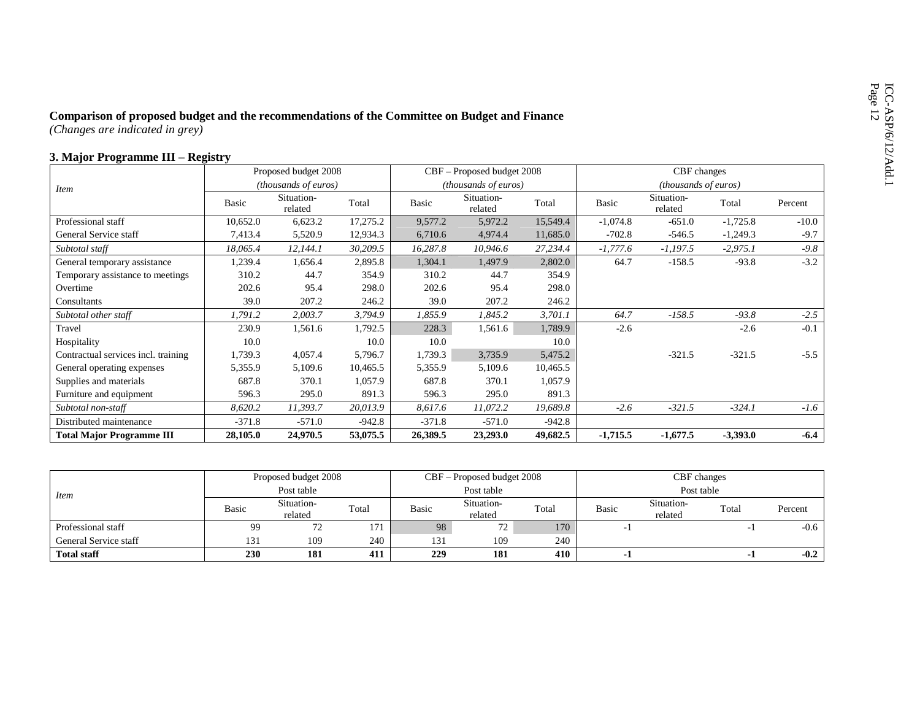# Comparison of proposed budget and the recommendations of the Committee on Budget and Finance<br>
(Changes are indicated in grey)<br>
3. Major Programme III – Registry

|                                     |          | Proposed budget 2008  |          |          | CBF - Proposed budget 2008 |          |            | CBF changes                 |            |         |
|-------------------------------------|----------|-----------------------|----------|----------|----------------------------|----------|------------|-----------------------------|------------|---------|
| <i>Item</i>                         |          | (thousands of euros)  |          |          | (thousands of euros)       |          |            | <i>(thousands of euros)</i> |            |         |
|                                     | Basic    | Situation-<br>related | Total    | Basic    | Situation-<br>related      | Total    | Basic      | Situation-<br>related       | Total      | Percent |
| Professional staff                  | 10,652.0 | 6,623.2               | 17,275.2 | 9,577.2  | 5,972.2                    | 15,549.4 | $-1,074.8$ | $-651.0$                    | $-1,725.8$ | $-10.0$ |
| General Service staff               | 7,413.4  | 5,520.9               | 12,934.3 | 6,710.6  | 4,974.4                    | 11,685.0 | $-702.8$   | $-546.5$                    | $-1,249.3$ | $-9.7$  |
| Subtotal staff                      | 18,065.4 | 12,144.1              | 30,209.5 | 16,287.8 | 10,946.6                   | 27,234.4 | $-1,777.6$ | $-1,197.5$                  | $-2,975.1$ | $-9.8$  |
| General temporary assistance        | 1,239.4  | 1,656.4               | 2,895.8  | 1,304.1  | 1,497.9                    | 2,802.0  | 64.7       | $-158.5$                    | $-93.8$    | $-3.2$  |
| Temporary assistance to meetings    | 310.2    | 44.7                  | 354.9    | 310.2    | 44.7                       | 354.9    |            |                             |            |         |
| Overtime                            | 202.6    | 95.4                  | 298.0    | 202.6    | 95.4                       | 298.0    |            |                             |            |         |
| Consultants                         | 39.0     | 207.2                 | 246.2    | 39.0     | 207.2                      | 246.2    |            |                             |            |         |
| Subtotal other staff                | 1,791.2  | 2,003.7               | 3,794.9  | 1,855.9  | 1,845.2                    | 3,701.1  | 64.7       | $-158.5$                    | $-93.8$    | $-2.5$  |
| Travel                              | 230.9    | 1,561.6               | 1,792.5  | 228.3    | 1,561.6                    | 1,789.9  | $-2.6$     |                             | $-2.6$     | $-0.1$  |
| Hospitality                         | 10.0     |                       | 10.0     | 10.0     |                            | 10.0     |            |                             |            |         |
| Contractual services incl. training | 1,739.3  | 4,057.4               | 5,796.7  | 1,739.3  | 3,735.9                    | 5,475.2  |            | $-321.5$                    | $-321.5$   | $-5.5$  |
| General operating expenses          | 5,355.9  | 5,109.6               | 10,465.5 | 5,355.9  | 5,109.6                    | 10,465.5 |            |                             |            |         |
| Supplies and materials              | 687.8    | 370.1                 | 1,057.9  | 687.8    | 370.1                      | 1,057.9  |            |                             |            |         |
| Furniture and equipment             | 596.3    | 295.0                 | 891.3    | 596.3    | 295.0                      | 891.3    |            |                             |            |         |
| Subtotal non-staff                  | 8,620.2  | 11,393.7              | 20,013.9 | 8,617.6  | 11,072.2                   | 19,689.8 | $-2.6$     | $-321.5$                    | $-324.1$   | $-1.6$  |
| Distributed maintenance             | $-371.8$ | $-571.0$              | $-942.8$ | $-371.8$ | $-571.0$                   | $-942.8$ |            |                             |            |         |
| <b>Total Major Programme III</b>    | 28,105.0 | 24,970.5              | 53,075.5 | 26,389.5 | 23,293.0                   | 49,682.5 | $-1,715.5$ | $-1,677.5$                  | $-3,393.0$ | $-6.4$  |

|                       |            | Proposed budget 2008  |       |       | CBF – Proposed budget 2008 |       |       | CBF changes           |       |         |
|-----------------------|------------|-----------------------|-------|-------|----------------------------|-------|-------|-----------------------|-------|---------|
| <i>Item</i>           |            | Post table            |       |       | Post table                 |       |       | Post table            |       |         |
|                       | Basic      | Situation-<br>related | Total | Basic | Situation-<br>related      | Total | Basic | Situation-<br>related | Total | Percent |
| Professional staff    | 99         | 72                    | 171   | 98    | 72                         | 170   |       |                       |       | $-0.6$  |
| General Service staff | 131        | 109                   | 240   | 131   | 109                        | 240   |       |                       |       |         |
| <b>Total staff</b>    | <b>230</b> | 181                   | 411   | 229   | 181                        | 410   | - 1   |                       |       | $-0.2$  |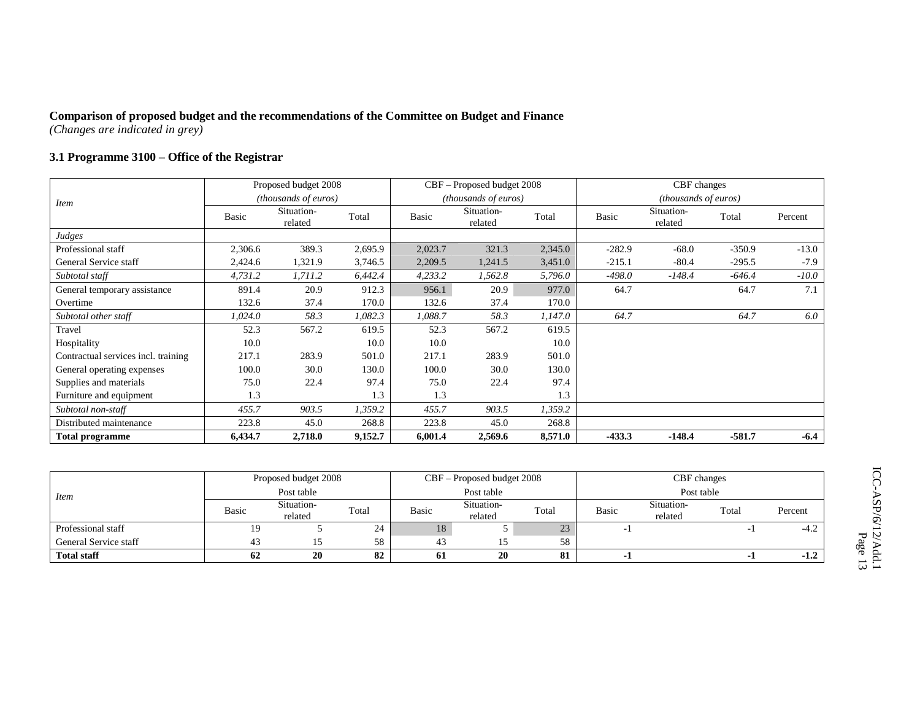### **3.1 Programme 3100 – Office of the Registrar**

|                                     |         | Proposed budget 2008  |         |         | CBF – Proposed budget 2008  |         |              | CBF changes                   |          |         |
|-------------------------------------|---------|-----------------------|---------|---------|-----------------------------|---------|--------------|-------------------------------|----------|---------|
| <i>Item</i>                         |         | (thousands of euros)  |         |         | <i>(thousands of euros)</i> |         |              | ( <i>thousands of euros</i> ) |          |         |
|                                     | Basic   | Situation-<br>related | Total   | Basic   | Situation-<br>related       | Total   | <b>Basic</b> | Situation-<br>related         | Total    | Percent |
| Judges                              |         |                       |         |         |                             |         |              |                               |          |         |
| Professional staff                  | 2,306.6 | 389.3                 | 2,695.9 | 2,023.7 | 321.3                       | 2,345.0 | $-282.9$     | $-68.0$                       | $-350.9$ | $-13.0$ |
| General Service staff               | 2,424.6 | 1,321.9               | 3,746.5 | 2,209.5 | 1,241.5                     | 3,451.0 | $-215.1$     | $-80.4$                       | $-295.5$ | $-7.9$  |
| Subtotal staff                      | 4,731.2 | 1,711.2               | 6,442.4 | 4,233.2 | 1,562.8                     | 5,796.0 | $-498.0$     | $-148.4$                      | $-646.4$ | $-10.0$ |
| General temporary assistance        | 891.4   | 20.9                  | 912.3   | 956.1   | 20.9                        | 977.0   | 64.7         |                               | 64.7     | 7.1     |
| Overtime                            | 132.6   | 37.4                  | 170.0   | 132.6   | 37.4                        | 170.0   |              |                               |          |         |
| Subtotal other staff                | 1,024.0 | 58.3                  | 1,082.3 | 1,088.7 | 58.3                        | 1,147.0 | 64.7         |                               | 64.7     | 6.0     |
| Travel                              | 52.3    | 567.2                 | 619.5   | 52.3    | 567.2                       | 619.5   |              |                               |          |         |
| Hospitality                         | 10.0    |                       | 10.0    | 10.0    |                             | 10.0    |              |                               |          |         |
| Contractual services incl. training | 217.1   | 283.9                 | 501.0   | 217.1   | 283.9                       | 501.0   |              |                               |          |         |
| General operating expenses          | 100.0   | 30.0                  | 130.0   | 100.0   | 30.0                        | 130.0   |              |                               |          |         |
| Supplies and materials              | 75.0    | 22.4                  | 97.4    | 75.0    | 22.4                        | 97.4    |              |                               |          |         |
| Furniture and equipment             | 1.3     |                       | 1.3     | 1.3     |                             | 1.3     |              |                               |          |         |
| Subtotal non-staff                  | 455.7   | 903.5                 | 1,359.2 | 455.7   | 903.5                       | 1,359.2 |              |                               |          |         |
| Distributed maintenance             | 223.8   | 45.0                  | 268.8   | 223.8   | 45.0                        | 268.8   |              |                               |          |         |
| <b>Total programme</b>              | 6,434.7 | 2,718.0               | 9,152.7 | 6,001.4 | 2,569.6                     | 8,571.0 | $-433.3$     | $-148.4$                      | $-581.7$ | $-6.4$  |

|                       |              | Proposed budget 2008  |       |       | CBF - Proposed budget 2008 |       |       | CBF changes           |       |         |
|-----------------------|--------------|-----------------------|-------|-------|----------------------------|-------|-------|-----------------------|-------|---------|
| <i>Item</i>           | Post table   |                       |       |       | Post table                 |       |       | Post table            |       |         |
|                       | <b>Basic</b> | Situation-<br>related | Total | Basic | Situation-<br>related      | Total | Basic | Situation-<br>related | Total | Percent |
| Professional staff    | 19           |                       | 24    | 18    |                            | 23    |       |                       |       | $-4.2$  |
| General Service staff | 45           |                       | 58    | 43    |                            | 58    |       |                       |       |         |
| <b>Total staff</b>    | 62           | 20                    | 82    | 61    | 20                         | 81    |       |                       |       | $-1.2$  |

ICC-ASP/6/12/Add.1 ICC-ASP/6/12/Add.1<br>Page 13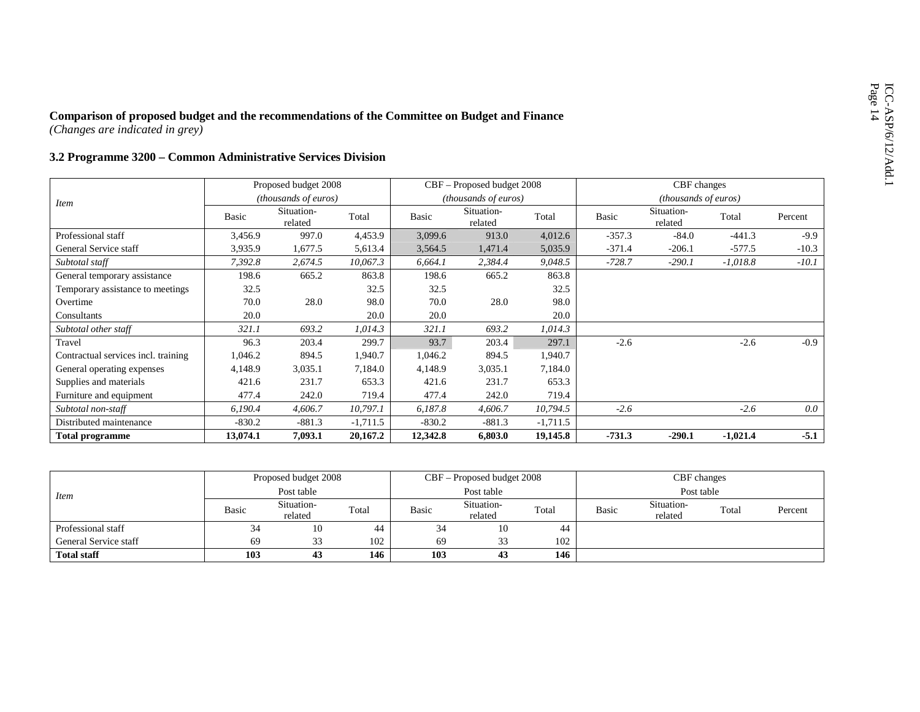# Comparison of proposed budget and the recommendations of the Committee on Budget and Finance<br>
(Changes are indicated in grey)<br>  $3.2$  Programme  $3200 -$ Common Administrative Services Division

|                                     |          | Proposed budget 2008  |            |          | CBF – Proposed budget 2008  |            |              | CBF changes           |            |         |
|-------------------------------------|----------|-----------------------|------------|----------|-----------------------------|------------|--------------|-----------------------|------------|---------|
| <i>Item</i>                         |          | (thousands of euros)  |            |          | <i>(thousands of euros)</i> |            |              | (thousands of euros)  |            |         |
|                                     | Basic    | Situation-<br>related | Total      | Basic    | Situation-<br>related       | Total      | <b>Basic</b> | Situation-<br>related | Total      | Percent |
| Professional staff                  | 3,456.9  | 997.0                 | 4,453.9    | 3,099.6  | 913.0                       | 4,012.6    | $-357.3$     | $-84.0$               | $-441.3$   | $-9.9$  |
| General Service staff               | 3,935.9  | 1,677.5               | 5,613.4    | 3,564.5  | 1,471.4                     | 5,035.9    | $-371.4$     | $-206.1$              | $-577.5$   | $-10.3$ |
| Subtotal staff                      | 7,392.8  | 2,674.5               | 10,067.3   | 6,664.1  | 2,384.4                     | 9,048.5    | $-728.7$     | $-290.1$              | $-1,018.8$ | $-10.1$ |
| General temporary assistance        | 198.6    | 665.2                 | 863.8      | 198.6    | 665.2                       | 863.8      |              |                       |            |         |
| Temporary assistance to meetings    | 32.5     |                       | 32.5       | 32.5     |                             | 32.5       |              |                       |            |         |
| Overtime                            | 70.0     | 28.0                  | 98.0       | 70.0     | 28.0                        | 98.0       |              |                       |            |         |
| Consultants                         | 20.0     |                       | 20.0       | 20.0     |                             | 20.0       |              |                       |            |         |
| Subtotal other staff                | 321.1    | 693.2                 | 1,014.3    | 321.1    | 693.2                       | 1,014.3    |              |                       |            |         |
| Travel                              | 96.3     | 203.4                 | 299.7      | 93.7     | 203.4                       | 297.1      | $-2.6$       |                       | $-2.6$     | $-0.9$  |
| Contractual services incl. training | 1,046.2  | 894.5                 | 1,940.7    | 1,046.2  | 894.5                       | 1,940.7    |              |                       |            |         |
| General operating expenses          | 4,148.9  | 3,035.1               | 7,184.0    | 4,148.9  | 3,035.1                     | 7,184.0    |              |                       |            |         |
| Supplies and materials              | 421.6    | 231.7                 | 653.3      | 421.6    | 231.7                       | 653.3      |              |                       |            |         |
| Furniture and equipment             | 477.4    | 242.0                 | 719.4      | 477.4    | 242.0                       | 719.4      |              |                       |            |         |
| Subtotal non-staff                  | 6,190.4  | 4,606.7               | 10,797.1   | 6,187.8  | 4,606.7                     | 10,794.5   | $-2.6$       |                       | $-2.6$     | 0.0     |
| Distributed maintenance             | $-830.2$ | $-881.3$              | $-1,711.5$ | $-830.2$ | $-881.3$                    | $-1,711.5$ |              |                       |            |         |
| <b>Total programme</b>              | 13,074.1 | 7,093.1               | 20,167.2   | 12,342.8 | 6,803.0                     | 19,145.8   | $-731.3$     | $-290.1$              | $-1,021.4$ | $-5.1$  |

|                       |       | Proposed budget 2008  |       |       | CBF – Proposed budget 2008 |       |              | CBF changes           |       |         |
|-----------------------|-------|-----------------------|-------|-------|----------------------------|-------|--------------|-----------------------|-------|---------|
| <i>Item</i>           |       | Post table            |       |       | Post table                 |       |              | Post table            |       |         |
|                       | Basic | Situation-<br>related | Total | Basic | Situation-<br>related      | Total | <b>Basic</b> | Situation-<br>related | Total | Percent |
| Professional staff    | 34    | 10                    | 44    | 34    | 10                         | 44    |              |                       |       |         |
| General Service staff | 69    | 33                    | 102   | 69    | 33                         | 102   |              |                       |       |         |
| <b>Total staff</b>    | 103   | 43                    | 146   | 103   | 43                         | 146   |              |                       |       |         |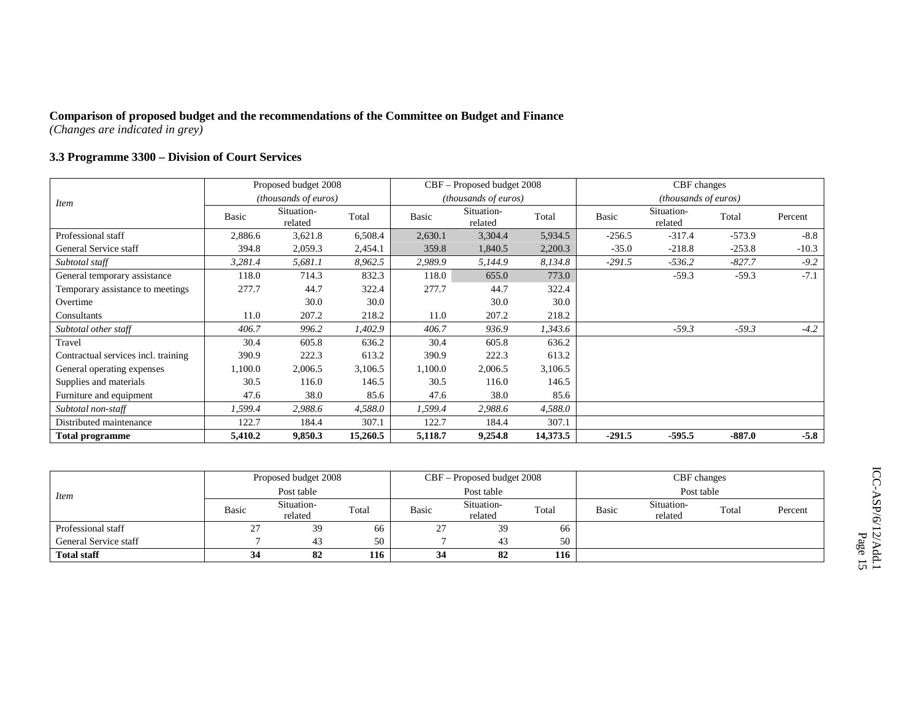### **3.3 Programme 3300 – Division of Court Services**

|                                     |                                           | Proposed budget 2008 |          |         | CBF - Proposed budget 2008  |          |              | CBF changes                 |          |         |
|-------------------------------------|-------------------------------------------|----------------------|----------|---------|-----------------------------|----------|--------------|-----------------------------|----------|---------|
| <i>Item</i>                         | <i>(thousands of euros)</i><br>Situation- |                      |          |         | <i>(thousands of euros)</i> |          |              | <i>(thousands of euros)</i> |          |         |
|                                     | <b>Basic</b>                              | related              | Total    | Basic   | Situation-<br>related       | Total    | <b>Basic</b> | Situation-<br>related       | Total    | Percent |
| Professional staff                  | 2,886.6                                   | 3,621.8              | 6,508.4  | 2,630.1 | 3,304.4                     | 5,934.5  | $-256.5$     | $-317.4$                    | $-573.9$ | $-8.8$  |
| General Service staff               | 394.8                                     | 2,059.3              | 2,454.1  | 359.8   | 1,840.5                     | 2,200.3  | $-35.0$      | $-218.8$                    | $-253.8$ | $-10.3$ |
| Subtotal staff                      | 3,281.4                                   | 5,681.1              | 8,962.5  | 2,989.9 | 5,144.9                     | 8,134.8  | $-291.5$     | $-536.2$                    | $-827.7$ | $-9.2$  |
| General temporary assistance        | 118.0                                     | 714.3                | 832.3    | 118.0   | 655.0                       | 773.0    |              | $-59.3$                     | $-59.3$  | $-7.1$  |
| Temporary assistance to meetings    | 277.7                                     | 44.7                 | 322.4    | 277.7   | 44.7                        | 322.4    |              |                             |          |         |
| Overtime                            |                                           | 30.0                 | 30.0     |         | 30.0                        | 30.0     |              |                             |          |         |
| Consultants                         | 11.0                                      | 207.2                | 218.2    | 11.0    | 207.2                       | 218.2    |              |                             |          |         |
| Subtotal other staff                | 406.7                                     | 996.2                | 1,402.9  | 406.7   | 936.9                       | 1,343.6  |              | $-59.3$                     | $-59.3$  | $-4.2$  |
| Travel                              | 30.4                                      | 605.8                | 636.2    | 30.4    | 605.8                       | 636.2    |              |                             |          |         |
| Contractual services incl. training | 390.9                                     | 222.3                | 613.2    | 390.9   | 222.3                       | 613.2    |              |                             |          |         |
| General operating expenses          | 1,100.0                                   | 2,006.5              | 3,106.5  | 1,100.0 | 2,006.5                     | 3,106.5  |              |                             |          |         |
| Supplies and materials              | 30.5                                      | 116.0                | 146.5    | 30.5    | 116.0                       | 146.5    |              |                             |          |         |
| Furniture and equipment             | 47.6                                      | 38.0                 | 85.6     | 47.6    | 38.0                        | 85.6     |              |                             |          |         |
| Subtotal non-staff                  | 1,599.4                                   | 2,988.6              | 4,588.0  | 1,599.4 | 2,988.6                     | 4,588.0  |              |                             |          |         |
| Distributed maintenance             | 122.7                                     | 184.4                | 307.1    | 122.7   | 184.4                       | 307.1    |              |                             |          |         |
| <b>Total programme</b>              | 5,410.2                                   | 9,850.3              | 15,260.5 | 5,118.7 | 9,254.8                     | 14,373.5 | $-291.5$     | $-595.5$                    | $-887.0$ | $-5.8$  |

|                       |       | Proposed budget 2008  |       |       | CBF – Proposed budget 2008 |       |       | CBF changes           |       |         |
|-----------------------|-------|-----------------------|-------|-------|----------------------------|-------|-------|-----------------------|-------|---------|
| <i>Item</i>           |       | Post table            |       |       | Post table                 |       |       | Post table            |       |         |
|                       | Basic | Situation-<br>related | Total | Basic | Situation-<br>related      | Total | Basic | Situation-<br>related | Total | Percent |
| Professional staff    | ر گ   | 39                    | 66    | 27    | 39                         | 66    |       |                       |       |         |
| General Service staff |       | 43                    | 50    |       | 43                         | 50    |       |                       |       |         |
| <b>Total staff</b>    | 34    | 82                    | 116   | 34    | 82                         | 116   |       |                       |       |         |

ICC-ASP/6/12/Add.1 ICC-ASP/6/12/Add.1<br>Page 15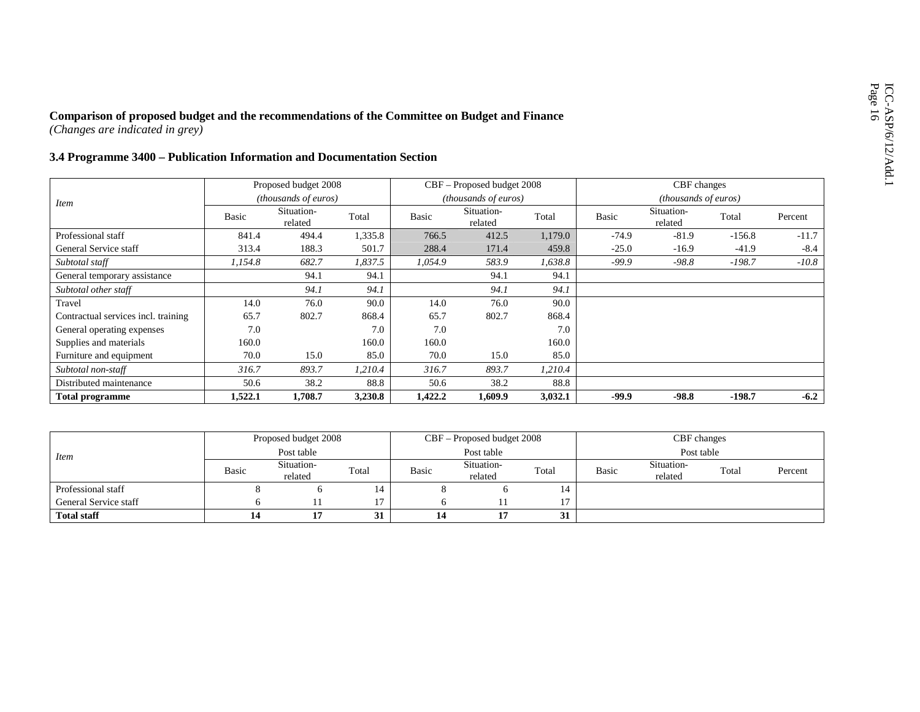# Comparison of proposed budget and the recommendations of the Committee on Budget and Finance<br>  $(Changes are indicated in grey)$ <br>
3.4 Programme 3400 – Publication Information and Documentation Section

|                                     |              | Proposed budget 2008  |         |              | CBF – Proposed budget 2008 |         |         | CBF changes                 |          |         |
|-------------------------------------|--------------|-----------------------|---------|--------------|----------------------------|---------|---------|-----------------------------|----------|---------|
| <i>Item</i>                         |              | (thousands of euros)  |         |              | (thousands of euros)       |         |         | <i>(thousands of euros)</i> |          |         |
|                                     | <b>Basic</b> | Situation-<br>related | Total   | <b>Basic</b> | Situation-<br>related      | Total   | Basic   | Situation-<br>related       | Total    | Percent |
| Professional staff                  | 841.4        | 494.4                 | 1,335.8 | 766.5        | 412.5                      | 1,179.0 | $-74.9$ | $-81.9$                     | $-156.8$ | $-11.7$ |
| General Service staff               | 313.4        | 188.3                 | 501.7   | 288.4        | 171.4                      | 459.8   | $-25.0$ | $-16.9$                     | $-41.9$  | $-8.4$  |
| Subtotal staff                      | 1,154.8      | 682.7                 | 1,837.5 | 1,054.9      | 583.9                      | 1,638.8 | $-99.9$ | $-98.8$                     | $-198.7$ | $-10.8$ |
| General temporary assistance        |              | 94.1                  | 94.1    |              | 94.1                       | 94.1    |         |                             |          |         |
| Subtotal other staff                |              | 94.1                  | 94.1    |              | 94.1                       | 94.1    |         |                             |          |         |
| Travel                              | 14.0         | 76.0                  | 90.0    | 14.0         | 76.0                       | 90.0    |         |                             |          |         |
| Contractual services incl. training | 65.7         | 802.7                 | 868.4   | 65.7         | 802.7                      | 868.4   |         |                             |          |         |
| General operating expenses          | 7.0          |                       | 7.0     | 7.0          |                            | 7.0     |         |                             |          |         |
| Supplies and materials              | 160.0        |                       | 160.0   | 160.0        |                            | 160.0   |         |                             |          |         |
| Furniture and equipment             | 70.0         | 15.0                  | 85.0    | 70.0         | 15.0                       | 85.0    |         |                             |          |         |
| Subtotal non-staff                  | 316.7        | 893.7                 | 1,210.4 | 316.7        | 893.7                      | 1,210.4 |         |                             |          |         |
| Distributed maintenance             | 50.6         | 38.2                  | 88.8    | 50.6         | 38.2                       | 88.8    |         |                             |          |         |
| <b>Total programme</b>              | 1,522.1      | 1,708.7               | 3,230.8 | 1,422.2      | 1,609.9                    | 3,032.1 | $-99.9$ | $-98.8$                     | $-198.7$ | $-6.2$  |

|                       |       | Proposed budget 2008  |       |       | $CBF -$ Proposed budget 2008 |       |       | CBF changes           |       |         |
|-----------------------|-------|-----------------------|-------|-------|------------------------------|-------|-------|-----------------------|-------|---------|
| <i>Item</i>           |       | Post table            |       |       | Post table                   |       |       | Post table            |       |         |
|                       | Basic | Situation-<br>related | Total | Basic | Situation-<br>related        | Total | Basic | Situation-<br>related | Total | Percent |
| Professional staff    |       |                       |       |       |                              | 14    |       |                       |       |         |
| General Service staff |       |                       | $1 -$ |       |                              |       |       |                       |       |         |
| <b>Total staff</b>    | 14    |                       | 31    | 14    |                              | 31    |       |                       |       |         |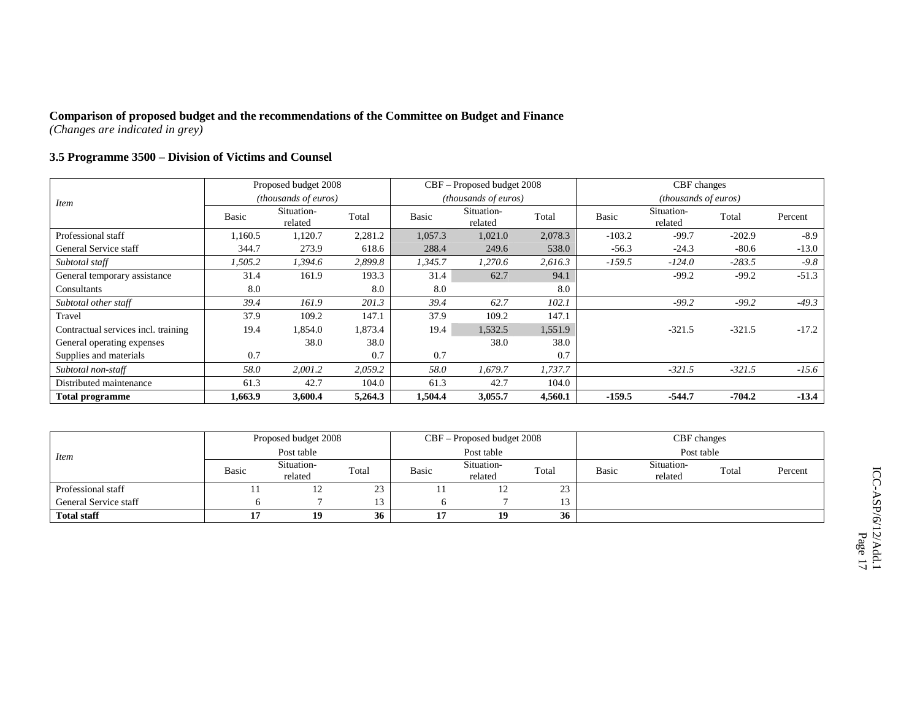### **3.5 Programme 3500 – Division of Victims and Counsel**

|                                     |              | Proposed budget 2008        |         |              | CBF – Proposed budget 2008 |         |          | CBF changes                 |          |         |
|-------------------------------------|--------------|-----------------------------|---------|--------------|----------------------------|---------|----------|-----------------------------|----------|---------|
| <i>Item</i>                         |              | <i>(thousands of euros)</i> |         |              | (thousands of euros)       |         |          | <i>(thousands of euros)</i> |          |         |
|                                     | <b>Basic</b> | Situation-<br>related       | Total   | <b>Basic</b> | Situation-<br>related      | Total   | Basic    | Situation-<br>related       | Total    | Percent |
| Professional staff                  | 1,160.5      | 1,120.7                     | 2,281.2 | 1,057.3      | 1,021.0                    | 2,078.3 | $-103.2$ | $-99.7$                     | $-202.9$ | $-8.9$  |
| General Service staff               | 344.7        | 273.9                       | 618.6   | 288.4        | 249.6                      | 538.0   | $-56.3$  | $-24.3$                     | $-80.6$  | $-13.0$ |
| Subtotal staff                      | 1,505.2      | 1,394.6                     | 2,899.8 | 1,345.7      | 1,270.6                    | 2,616.3 | $-159.5$ | $-124.0$                    | $-283.5$ | $-9.8$  |
| General temporary assistance        | 31.4         | 161.9                       | 193.3   | 31.4         | 62.7                       | 94.1    |          | $-99.2$                     | $-99.2$  | $-51.3$ |
| Consultants                         | 8.0          |                             | 8.0     | 8.0          |                            | 8.0     |          |                             |          |         |
| Subtotal other staff                | 39.4         | 161.9                       | 201.3   | 39.4         | 62.7                       | 102.1   |          | $-99.2$                     | $-99.2$  | $-49.3$ |
| Travel                              | 37.9         | 109.2                       | 147.1   | 37.9         | 109.2                      | 147.1   |          |                             |          |         |
| Contractual services incl. training | 19.4         | 1,854.0                     | 1,873.4 | 19.4         | 1,532.5                    | 1,551.9 |          | $-321.5$                    | $-321.5$ | $-17.2$ |
| General operating expenses          |              | 38.0                        | 38.0    |              | 38.0                       | 38.0    |          |                             |          |         |
| Supplies and materials              | 0.7          |                             | 0.7     | 0.7          |                            | 0.7     |          |                             |          |         |
| Subtotal non-staff                  | 58.0         | 2,001.2                     | 2,059.2 | 58.0         | 1,679.7                    | 1,737.7 |          | $-321.5$                    | $-321.5$ | $-15.6$ |
| Distributed maintenance             | 61.3         | 42.7                        | 104.0   | 61.3         | 42.7                       | 104.0   |          |                             |          |         |
| Total programme                     | 1.663.9      | 3,600.4                     | 5,264.3 | 1,504.4      | 3,055.7                    | 4,560.1 | $-159.5$ | $-544.7$                    | $-704.2$ | $-13.4$ |

|                       |       | Proposed budget 2008  |       |       | CBF – Proposed budget 2008 |        |       | CBF changes           |       |         |
|-----------------------|-------|-----------------------|-------|-------|----------------------------|--------|-------|-----------------------|-------|---------|
| Item                  |       | Post table            |       |       | Post table                 |        |       | Post table            |       |         |
|                       | Basic | Situation-<br>related | Total | Basic | Situation-<br>related      | Total  | Basic | Situation-<br>related | Total | Percent |
| Professional staff    |       | 12                    | 23    |       | ⊥∠                         | 23     |       |                       |       |         |
| General Service staff |       |                       | 13    |       |                            | $13 -$ |       |                       |       |         |
| <b>Total staff</b>    | 17    | 19                    | 36    |       | 19                         | 36     |       |                       |       |         |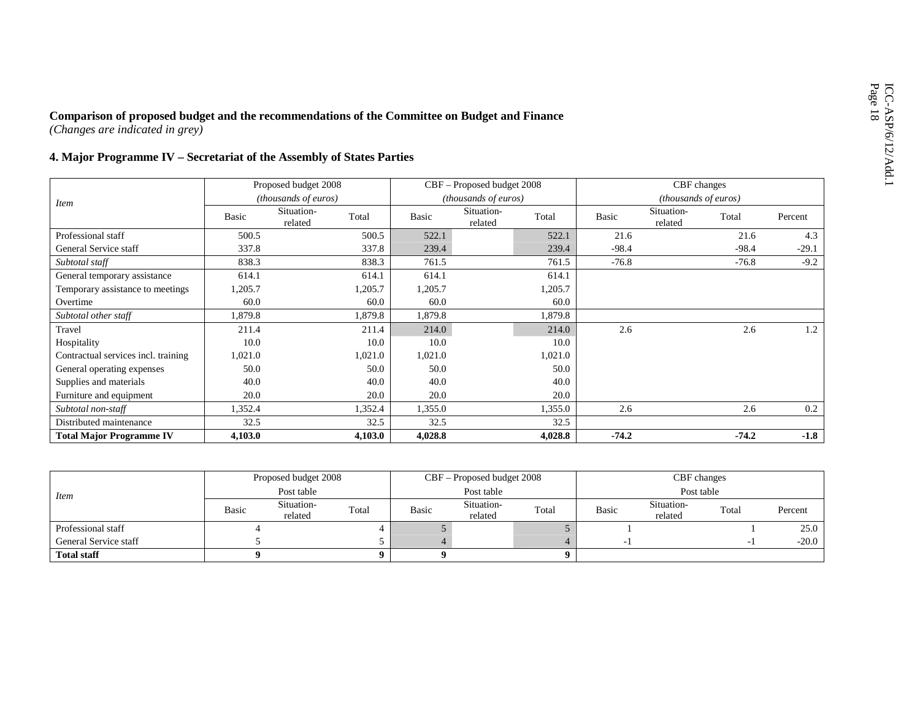|  |  | 4. Major Programme IV – Secretariat of the Assembly of States Parties |  |  |
|--|--|-----------------------------------------------------------------------|--|--|
|  |  |                                                                       |  |  |

|                                     |         | Proposed budget 2008  |         |         | CBF – Proposed budget 2008    |         |              | CBF changes           |         |         |
|-------------------------------------|---------|-----------------------|---------|---------|-------------------------------|---------|--------------|-----------------------|---------|---------|
| <i>Item</i>                         |         | (thousands of euros)  |         |         | ( <i>thousands of euros</i> ) |         |              | (thousands of euros)  |         |         |
|                                     | Basic   | Situation-<br>related | Total   | Basic   | Situation-<br>related         | Total   | <b>Basic</b> | Situation-<br>related | Total   | Percent |
| Professional staff                  | 500.5   |                       | 500.5   | 522.1   |                               | 522.1   | 21.6         |                       | 21.6    | 4.3     |
| General Service staff               | 337.8   |                       | 337.8   | 239.4   |                               | 239.4   | $-98.4$      |                       | $-98.4$ | $-29.1$ |
| Subtotal staff                      | 838.3   |                       | 838.3   | 761.5   |                               | 761.5   | $-76.8$      |                       | $-76.8$ | $-9.2$  |
| General temporary assistance        | 614.1   |                       | 614.1   | 614.1   |                               | 614.1   |              |                       |         |         |
| Temporary assistance to meetings    | 1,205.7 |                       | 1,205.7 | 1,205.7 |                               | 1,205.7 |              |                       |         |         |
| Overtime                            | 60.0    |                       | 60.0    | 60.0    |                               | 60.0    |              |                       |         |         |
| Subtotal other staff                | 1,879.8 |                       | 1,879.8 | 1,879.8 |                               | 1,879.8 |              |                       |         |         |
| Travel                              | 211.4   |                       | 211.4   | 214.0   |                               | 214.0   | 2.6          |                       | 2.6     | 1.2     |
| Hospitality                         | 10.0    |                       | 10.0    | 10.0    |                               | 10.0    |              |                       |         |         |
| Contractual services incl. training | 1,021.0 |                       | 1,021.0 | 1,021.0 |                               | 1,021.0 |              |                       |         |         |
| General operating expenses          | 50.0    |                       | 50.0    | 50.0    |                               | 50.0    |              |                       |         |         |
| Supplies and materials              | 40.0    |                       | 40.0    | 40.0    |                               | 40.0    |              |                       |         |         |
| Furniture and equipment             | 20.0    |                       | 20.0    | 20.0    |                               | 20.0    |              |                       |         |         |
| Subtotal non-staff                  | 1,352.4 |                       | 1,352.4 | 1,355.0 |                               | 1,355.0 | 2.6          |                       | 2.6     | 0.2     |
| Distributed maintenance             | 32.5    |                       | 32.5    | 32.5    |                               | 32.5    |              |                       |         |         |
| <b>Total Major Programme IV</b>     | 4,103.0 |                       | 4,103.0 | 4,028.8 |                               | 4,028.8 | $-74.2$      |                       | $-74.2$ | $-1.8$  |

|                       |       | Proposed budget 2008  |       |       | CBF – Proposed budget 2008 |       |                          | CBF changes           |       |         |
|-----------------------|-------|-----------------------|-------|-------|----------------------------|-------|--------------------------|-----------------------|-------|---------|
| <i>Item</i>           |       | Post table            |       |       | Post table                 |       |                          | Post table            |       |         |
|                       | Basic | Situation-<br>related | Total | Basic | Situation-<br>related      | Total | Basic                    | Situation-<br>related | Total | Percent |
| Professional staff    |       |                       |       |       |                            |       |                          |                       |       | 25.0    |
| General Service staff |       |                       |       |       |                            |       | $\overline{\phantom{a}}$ |                       |       | $-20.0$ |
| <b>Total staff</b>    |       |                       |       |       |                            |       |                          |                       |       |         |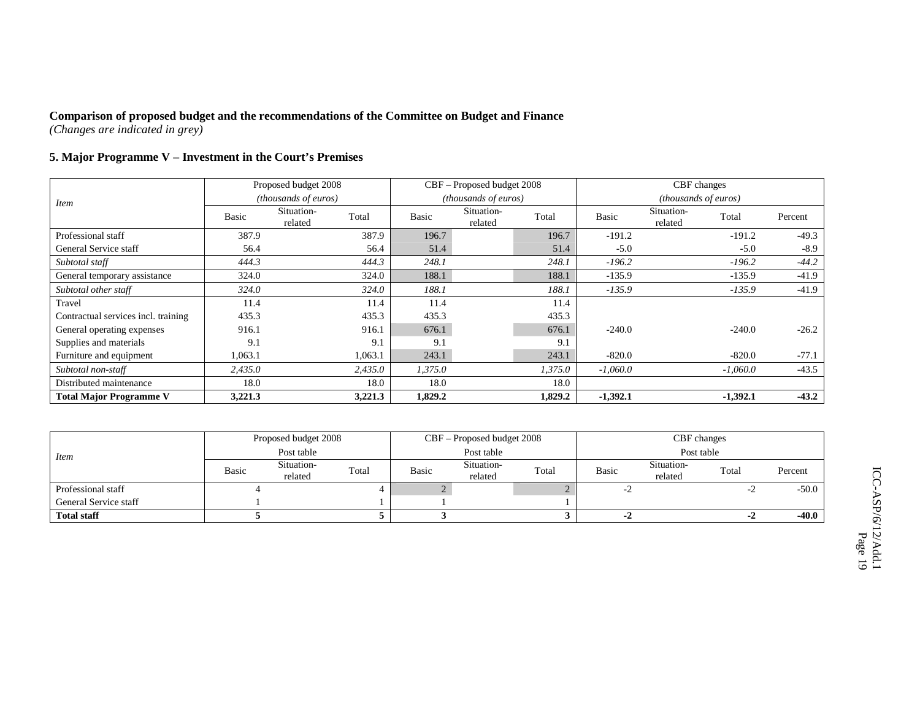## **5. Major Programme V – Investment in the Court's Premises**

|                                     |         | Proposed budget 2008  |         |         | CBF – Proposed budget 2008 |         |              | CBF changes                 |            |         |
|-------------------------------------|---------|-----------------------|---------|---------|----------------------------|---------|--------------|-----------------------------|------------|---------|
| <i>Item</i>                         |         | (thousands of euros)  |         |         | (thousands of euros)       |         |              | <i>(thousands of euros)</i> |            |         |
|                                     | Basic   | Situation-<br>related | Total   | Basic   | Situation-<br>related      | Total   | <b>Basic</b> | Situation-<br>related       | Total      | Percent |
| Professional staff                  | 387.9   |                       | 387.9   | 196.7   |                            | 196.7   | $-191.2$     |                             | $-191.2$   | $-49.3$ |
| General Service staff               | 56.4    |                       | 56.4    | 51.4    |                            | 51.4    | $-5.0$       |                             | $-5.0$     | $-8.9$  |
| Subtotal staff                      | 444.3   |                       | 444.3   | 248.1   |                            | 248.1   | $-196.2$     |                             | $-196.2$   | $-44.2$ |
| General temporary assistance        | 324.0   |                       | 324.0   | 188.1   |                            | 188.1   | $-135.9$     |                             | $-135.9$   | $-41.9$ |
| Subtotal other staff                | 324.0   |                       | 324.0   | 188.1   |                            | 188.1   | $-135.9$     |                             | $-135.9$   | $-41.9$ |
| Travel                              | 11.4    |                       | 11.4    | 11.4    |                            | 11.4    |              |                             |            |         |
| Contractual services incl. training | 435.3   |                       | 435.3   | 435.3   |                            | 435.3   |              |                             |            |         |
| General operating expenses          | 916.1   |                       | 916.1   | 676.1   |                            | 676.1   | $-240.0$     |                             | $-240.0$   | $-26.2$ |
| Supplies and materials              | 9.1     |                       | 9.1     | 9.1     |                            | 9.1     |              |                             |            |         |
| Furniture and equipment             | 1,063.1 |                       | 1,063.1 | 243.1   |                            | 243.1   | $-820.0$     |                             | $-820.0$   | $-77.1$ |
| Subtotal non-staff                  | 2,435.0 |                       | 2,435.0 | 1,375.0 |                            | 1,375.0 | $-1,060.0$   |                             | $-1,060.0$ | $-43.5$ |
| Distributed maintenance             | 18.0    |                       | 18.0    | 18.0    |                            | 18.0    |              |                             |            |         |
| <b>Total Major Programme V</b>      | 3,221.3 |                       | 3,221.3 | 1,829.2 |                            | 1,829.2 | $-1,392.1$   |                             | $-1,392.1$ | $-43.2$ |

|                       |       | Proposed budget 2008  |       |       | CBF – Proposed budget 2008 |       |              | CBF changes           |       |         |  |
|-----------------------|-------|-----------------------|-------|-------|----------------------------|-------|--------------|-----------------------|-------|---------|--|
| <i>Item</i>           |       | Post table            |       |       | Post table                 |       | Post table   |                       |       |         |  |
|                       | Basic | Situation-<br>related | Total | Basic | Situation-<br>related      | Total | <b>Basic</b> | Situation-<br>related | Total | Percent |  |
| Professional staff    |       |                       |       |       |                            |       | $-L$         |                       |       | $-50.0$ |  |
| General Service staff |       |                       |       |       |                            |       |              |                       |       |         |  |
| <b>Total staff</b>    |       |                       |       |       |                            |       | -4           |                       |       | -40.0   |  |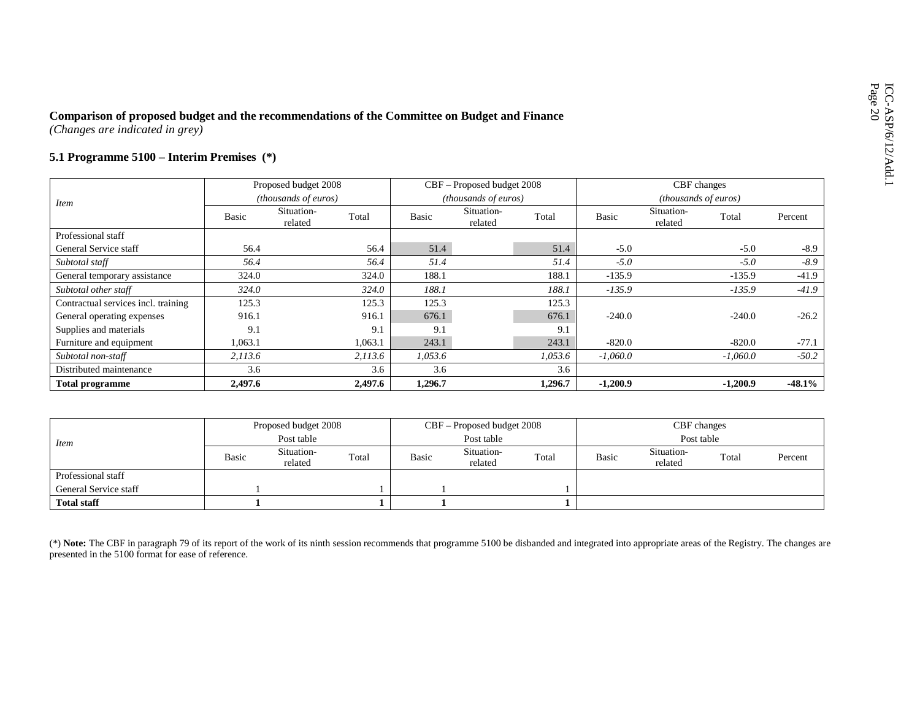| Comparison of proposed budget and the recommendations of the Committee on Budget and Finance<br>(Changes are indicated in grey) |         |                                |         |              |                             |         |              |                             |            |          |
|---------------------------------------------------------------------------------------------------------------------------------|---------|--------------------------------|---------|--------------|-----------------------------|---------|--------------|-----------------------------|------------|----------|
| 5.1 Programme $5100$ – Interim Premises $(*)$                                                                                   |         |                                |         |              |                             |         |              |                             |            |          |
|                                                                                                                                 |         | Proposed budget 2008           |         |              | CBF – Proposed budget 2008  |         |              | CBF changes                 |            |          |
| <i>Item</i>                                                                                                                     |         | <i>(thousands of euros)</i>    |         |              | <i>(thousands of euros)</i> |         |              | <i>(thousands of euros)</i> |            |          |
|                                                                                                                                 | Basic   | Situation-<br>Total<br>related |         | <b>Basic</b> | Situation-<br>related       | Total   | <b>Basic</b> | Situation-<br>related       | Total      | Percent  |
| Professional staff                                                                                                              |         |                                |         |              |                             |         |              |                             |            |          |
| General Service staff                                                                                                           | 56.4    |                                | 56.4    | 51.4         |                             | 51.4    | $-5.0$       |                             | $-5.0$     | $-8.9$   |
| Subtotal staff                                                                                                                  | 56.4    |                                | 56.4    | 51.4         |                             | 51.4    | $-5.0$       |                             | $-5.0$     | $-8.9$   |
| General temporary assistance                                                                                                    | 324.0   |                                | 324.0   | 188.1        |                             | 188.1   | $-135.9$     |                             | $-135.9$   | $-41.9$  |
| Subtotal other staff                                                                                                            | 324.0   |                                | 324.0   | 188.1        |                             | 188.1   | $-135.9$     |                             | $-135.9$   | $-41.9$  |
| Contractual services incl. training                                                                                             | 125.3   |                                | 125.3   | 125.3        |                             | 125.3   |              |                             |            |          |
| General operating expenses                                                                                                      | 916.1   |                                | 916.1   | 676.1        |                             | 676.1   | $-240.0$     |                             | $-240.0$   | $-26.2$  |
| Supplies and materials                                                                                                          | 9.1     |                                | 9.1     | 9.1          |                             | 9.1     |              |                             |            |          |
| Furniture and equipment                                                                                                         | 1,063.1 |                                | 1,063.1 | 243.1        |                             | 243.1   | $-820.0$     |                             | $-820.0$   | $-77.1$  |
| Subtotal non-staff                                                                                                              | 2,113.6 |                                | 2,113.6 | 1,053.6      |                             | 1,053.6 | $-1,060.0$   |                             | $-1,060.0$ | $-50.2$  |
| Distributed maintenance                                                                                                         | 3.6     |                                | 3.6     | 3.6          |                             | 3.6     |              |                             |            |          |
| <b>Total programme</b>                                                                                                          | 2,497.6 |                                | 2,497.6 | 1,296.7      |                             | 1,296.7 | $-1,200.9$   |                             | $-1,200.9$ | $-48.1%$ |

| <i>Item</i>           | Proposed budget 2008 |                       |       | CBF – Proposed budget 2008 |                       |       | CBF changes |                       |       |         |
|-----------------------|----------------------|-----------------------|-------|----------------------------|-----------------------|-------|-------------|-----------------------|-------|---------|
|                       | Post table           |                       |       | Post table                 |                       |       | Post table  |                       |       |         |
|                       | <b>Basic</b>         | Situation-<br>related | Total | <b>Basic</b>               | Situation-<br>related | Total | Basic       | Situation-<br>related | Total | Percent |
| Professional staff    |                      |                       |       |                            |                       |       |             |                       |       |         |
| General Service staff |                      |                       |       |                            |                       |       |             |                       |       |         |
| <b>Total staff</b>    |                      |                       |       |                            |                       |       |             |                       |       |         |

(\*) Note: The CBF in paragraph 79 of its report of the work of its ninth session recommends that programme 5100 be disbanded and integrated into appropriate areas of the Registry. The changes are presented in the 5100 form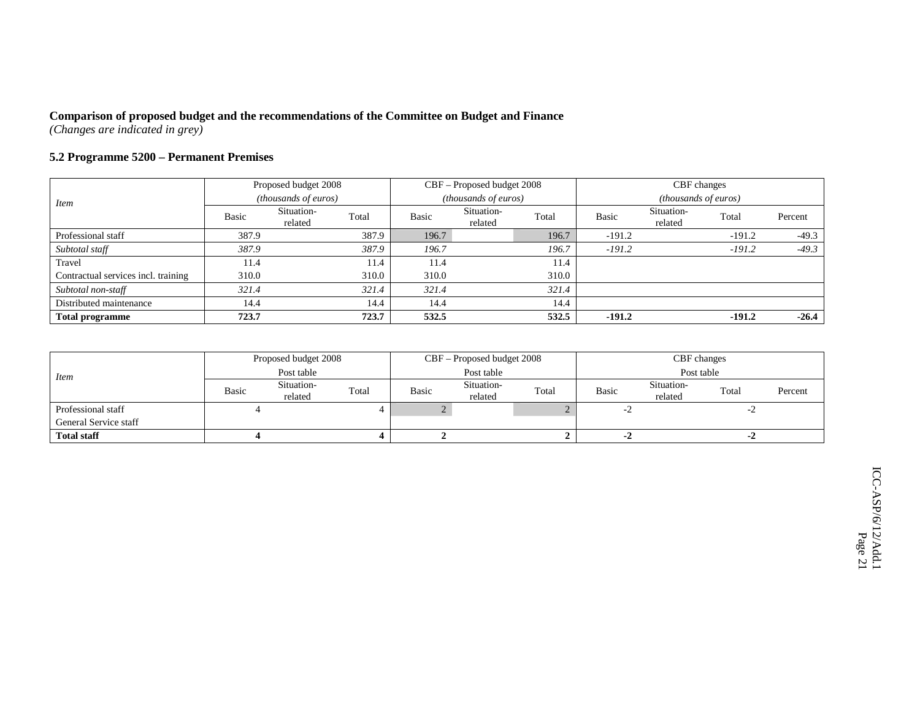### **5.2 Programme 5200 – Permanent Premises**

|                                     |                                                                             | Proposed budget 2008  |       |       | CBF - Proposed budget 2008 |       |              | CBF changes           |          |         |  |
|-------------------------------------|-----------------------------------------------------------------------------|-----------------------|-------|-------|----------------------------|-------|--------------|-----------------------|----------|---------|--|
| Item                                | (thousands of euros)<br>(thousands of euros)<br><i>(thousands of euros)</i> |                       |       |       |                            |       |              |                       |          |         |  |
|                                     | Basic                                                                       | Situation-<br>related | Total | Basic | Situation-<br>related      | Total | <b>Basic</b> | Situation-<br>related | Total    | Percent |  |
| Professional staff                  | 387.9                                                                       |                       | 387.9 | 196.7 |                            | 196.7 | $-191.2$     |                       | $-191.2$ | $-49.3$ |  |
| Subtotal staff                      | 387.9                                                                       |                       | 387.9 | 196.7 |                            | 196.7 | $-191.2$     |                       | $-191.2$ | $-49.3$ |  |
| Travel                              | 11.4                                                                        |                       | 11.4  | 11.4  |                            | 11.4  |              |                       |          |         |  |
| Contractual services incl. training | 310.0                                                                       |                       | 310.0 | 310.0 |                            | 310.0 |              |                       |          |         |  |
| Subtotal non-staff                  | 321.4                                                                       |                       | 321.4 | 321.4 |                            | 321.4 |              |                       |          |         |  |
| Distributed maintenance             | 14.4                                                                        |                       | 14.4  | 14.4  |                            | 14.4  |              |                       |          |         |  |
| <b>Total programme</b>              | 723.7                                                                       |                       | 723.7 | 532.5 |                            | 532.5 | $-191.2$     |                       | $-191.2$ | $-26.4$ |  |

| <i>Item</i>           | Proposed budget 2008 |                       |       | CBF – Proposed budget 2008 |                       |       | CBF changes |                       |       |         |
|-----------------------|----------------------|-----------------------|-------|----------------------------|-----------------------|-------|-------------|-----------------------|-------|---------|
|                       | Post table           |                       |       | Post table                 |                       |       | Post table  |                       |       |         |
|                       | <b>Basic</b>         | Situation-<br>related | Total | Basic                      | Situation-<br>related | Total | Basic       | Situation-<br>related | Total | Percent |
| Professional staff    |                      |                       |       |                            |                       |       | $-2$        |                       | -4    |         |
| General Service staff |                      |                       |       |                            |                       |       |             |                       |       |         |
| <b>Total staff</b>    |                      |                       |       |                            |                       |       | -4          |                       | -4    |         |